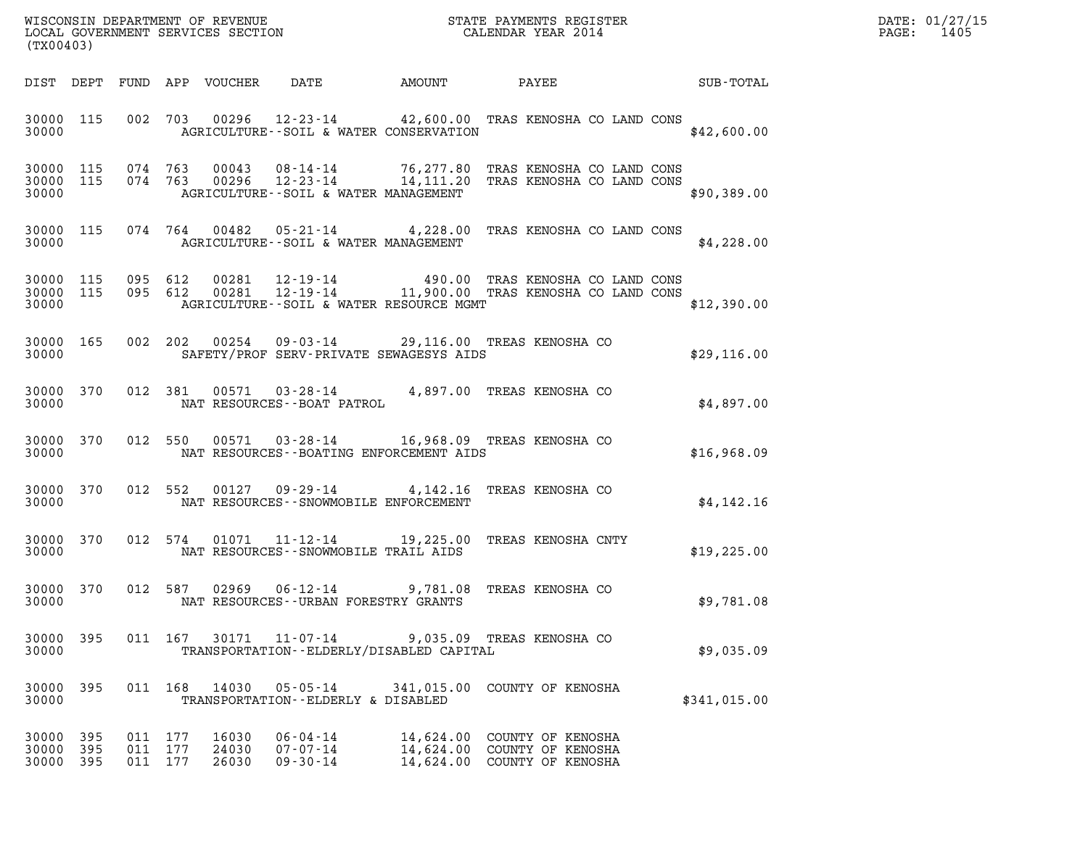| DATE: | 01/27/15 |
|-------|----------|
| PAGE: | 1405     |

| WISCONSIN DEPARTMENT OF REVENUE<br>LOCAL GOVERNMENT SERVICES SECTION<br>CALENDAR YEAR 2014<br>(TX00403) |  |                               |  |                         |                                                                                                                                                                                     |                                                                                           |              | DATE: 01/27/15<br>1405<br>$\mathtt{PAGE:}$ |
|---------------------------------------------------------------------------------------------------------|--|-------------------------------|--|-------------------------|-------------------------------------------------------------------------------------------------------------------------------------------------------------------------------------|-------------------------------------------------------------------------------------------|--------------|--------------------------------------------|
|                                                                                                         |  |                               |  |                         | DIST DEPT FUND APP VOUCHER DATE AMOUNT PAYEE SUB-TOTAL                                                                                                                              |                                                                                           |              |                                            |
|                                                                                                         |  |                               |  |                         | 30000 115 002 703 00296 12-23-14 42,600.00 TRAS KENOSHA CO LAND CONS<br>30000   AGRICULTURE--SOIL & WATER CONSERVATION                                                              |                                                                                           | \$42,600.00  |                                            |
| 30000                                                                                                   |  |                               |  |                         | 30000 115 074 763 00043 08-14-14 76,277.80 TRAS KENOSHA CO LAND CONS 30000 115 074 763 00296 12-23-14 14,111.20 TRAS KENOSHA CO LAND CONS<br>AGRICULTURE--SOIL & WATER MANAGEMENT   |                                                                                           | \$90,389.00  |                                            |
|                                                                                                         |  |                               |  |                         | 30000 115 074 764 00482 05-21-14 4,228.00 TRAS KENOSHA CO LAND CONS<br>30000 AGRICULTURE--SOIL & WATER MANAGEMENT                                                                   |                                                                                           | \$4,228.00   |                                            |
| 30000                                                                                                   |  |                               |  |                         | 30000 115 095 612 00281 12-19-14 490.00 TRAS KENOSHA CO LAND CONS 30000 115 095 612 00281 12-19-14 11,900.00 TRAS KENOSHA CO LAND CONS<br>AGRICULTURE -- SOIL & WATER RESOURCE MGMT |                                                                                           | \$12,390.00  |                                            |
|                                                                                                         |  |                               |  |                         | 30000 165 002 202 00254 09-03-14 29,116.00 TREAS KENOSHA CO<br>SAFETY/PROF SERV-PRIVATE SEWAGESYS AIDS                                                                              |                                                                                           | \$29,116.00  |                                            |
|                                                                                                         |  |                               |  |                         | 30000 370 012 381 00571 03-28-14 4,897.00 TREAS KENOSHA CO 30000 NAT RESOURCES--BOAT PATROL                                                                                         |                                                                                           | \$4,897.00   |                                            |
|                                                                                                         |  |                               |  |                         | 30000 370 012 550 00571 03-28-14 16,968.09 TREAS KENOSHA CO<br>NAT RESOURCES--BOATING ENFORCEMENT AIDS                                                                              |                                                                                           | \$16,968.09  |                                            |
|                                                                                                         |  |                               |  |                         | 30000 370 012 552 00127 09-29-14 4,142.16 TREAS KENOSHA CO<br>NAT RESOURCES - - SNOWMOBILE ENFORCEMENT                                                                              |                                                                                           | \$4,142.16   |                                            |
| 30000                                                                                                   |  |                               |  |                         | 30000 370 012 574 01071 11-12-14 19,225.00 TREAS KENOSHA CNTY<br>NAT RESOURCES - - SNOWMOBILE TRAIL AIDS                                                                            |                                                                                           | \$19,225.00  |                                            |
| 30000                                                                                                   |  |                               |  |                         | 30000 370 012 587 02969 06-12-14 9,781.08 TREAS KENOSHA CO<br>NAT RESOURCES - - URBAN FORESTRY GRANTS                                                                               |                                                                                           | \$9,781.08   |                                            |
| 30000 395<br>30000                                                                                      |  |                               |  |                         | 011 167 30171 11-07-14 9,035.09 TREAS KENOSHA CO<br>TRANSPORTATION - - ELDERLY/DISABLED CAPITAL                                                                                     |                                                                                           | \$9,035.09   |                                            |
| 30000 395<br>30000                                                                                      |  |                               |  |                         | 011  168  14030  05-05-14  341,015.00  COUNTY OF KENOSHA<br>TRANSPORTATION--ELDERLY & DISABLED                                                                                      |                                                                                           | \$341,015.00 |                                            |
| 30000 395<br>30000 395<br>30000 395                                                                     |  | 011 177<br>011 177<br>011 177 |  | 16030<br>24030<br>26030 | $06 - 04 - 14$<br>07-07-14<br>$09 - 30 - 14$                                                                                                                                        | 14,624.00 COUNTY OF KENOSHA<br>14,624.00 COUNTY OF KENOSHA<br>14,624.00 COUNTY OF KENOSHA |              |                                            |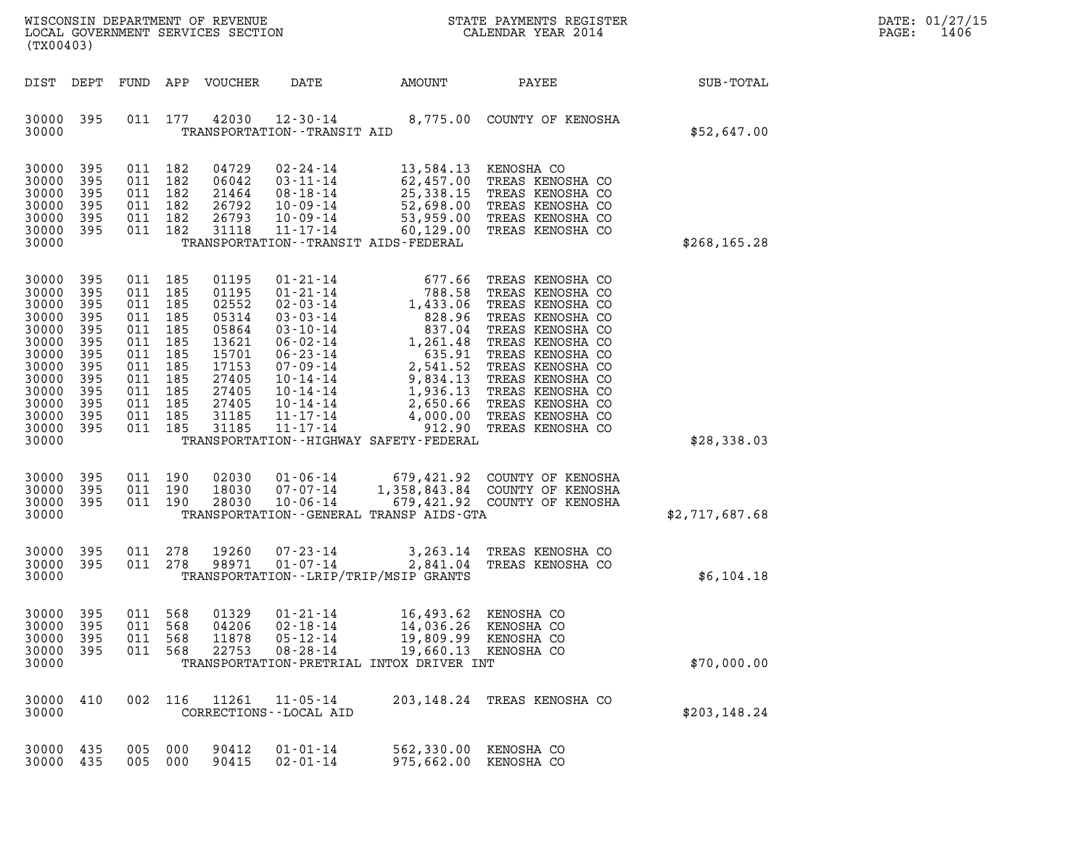| (TX00403)                                                                                                                  |                                                                                         |                                                                                                                                             |                   |                                                                                                                   |                                                                            |                                                                                 | WISCONSIN DEPARTMENT OF REVENUE<br>LOCAL GOVERNMENT SERVICES SECTION<br>CALENDAR YEAR 2014                                                                                                                                                                                                                                                                                                        |                | DATE: 01/27/15<br>PAGE:<br>1406 |
|----------------------------------------------------------------------------------------------------------------------------|-----------------------------------------------------------------------------------------|---------------------------------------------------------------------------------------------------------------------------------------------|-------------------|-------------------------------------------------------------------------------------------------------------------|----------------------------------------------------------------------------|---------------------------------------------------------------------------------|---------------------------------------------------------------------------------------------------------------------------------------------------------------------------------------------------------------------------------------------------------------------------------------------------------------------------------------------------------------------------------------------------|----------------|---------------------------------|
| DIST DEPT                                                                                                                  |                                                                                         |                                                                                                                                             |                   | FUND APP VOUCHER                                                                                                  | DATE                                                                       | AMOUNT                                                                          | PAYEE                                                                                                                                                                                                                                                                                                                                                                                             | SUB-TOTAL      |                                 |
| 30000 395<br>30000                                                                                                         |                                                                                         |                                                                                                                                             | 011 177           |                                                                                                                   | TRANSPORTATION - - TRANSIT AID                                             |                                                                                 | 42030  12-30-14  8,775.00  COUNTY OF KENOSHA                                                                                                                                                                                                                                                                                                                                                      | \$52,647.00    |                                 |
| 30000<br>30000<br>30000<br>30000<br>30000<br>30000<br>30000                                                                | 395<br>395<br>395<br>395<br>395<br>395                                                  | 011 182<br>011 182<br>011 182<br>011 182<br>011 182<br>011 182                                                                              |                   | 04729<br>06042<br>21464<br>26792<br>26793<br>31118                                                                | 02-24-14<br>$03 - 11 - 14$<br>08-18-14<br>10-09-14<br>10-09-14<br>11-17-14 | 13,584.13 KENOSHA CO<br>60, 129.00<br>TRANSPORTATION - - TRANSIT AIDS - FEDERAL | 62,457.00 TREAS KENOSHA CO<br>25,338.15 TREAS KENOSHA CO<br>52,698.00 TREAS KENOSHA CO<br>53,959.00 TREAS KENOSHA CO<br>TREAS KENOSHA CO                                                                                                                                                                                                                                                          | \$268, 165.28  |                                 |
| 30000<br>30000<br>30000<br>30000<br>30000<br>30000<br>30000<br>30000<br>30000<br>30000<br>30000<br>30000<br>30000<br>30000 | 395<br>395<br>395<br>395<br>395<br>395<br>395<br>395<br>395<br>395<br>395<br>395<br>395 | 011 185<br>011 185<br>011 185<br>011 185<br>011 185<br>011 185<br>011 185<br>011 185<br>011 185<br>011 185<br>011 185<br>011 185<br>011 185 |                   | 01195<br>01195<br>02552<br>05314<br>05864<br>13621<br>15701<br>17153<br>27405<br>27405<br>27405<br>31185<br>31185 | $01 - 21 - 14$<br>$01 - 21 - 14$<br>11-17-14<br>11-17-14                   | 677.66<br>788.58<br>TRANSPORTATION - - HIGHWAY SAFETY - FEDERAL                 | TREAS KENOSHA CO<br>TREAS KENOSHA CO<br>01-21-14<br>02-03-14<br>03-03-14<br>03-03-14<br>03-10-14<br>03-10-14<br>06-02-14<br>1,261.48<br>TREAS KENOSHA CO<br>06-23-14<br>06-23-14<br>07-09-14<br>2,541.52<br>TREAS KENOSHA CO<br>07-09-14<br>2,541.52<br>TREAS KENOSHA CO<br>10-14-14<br>9,834.13<br>TREAS KE<br>4,000.00 TREAS KENOSHA CO<br>4,000.00 TREAS KENUSHA CU<br>912.90 TREAS KENOSHA CO | \$28,338.03    |                                 |
| 30000<br>30000<br>30000<br>30000                                                                                           | 395<br>395<br>395                                                                       | 011 190<br>011 190<br>011 190                                                                                                               |                   | 02030<br>18030<br>28030                                                                                           | 01-06-14<br>07-07-14<br>$10 - 06 - 14$                                     | TRANSPORTATION--GENERAL TRANSP AIDS-GTA                                         | 679,421.92 COUNTY OF KENOSHA<br>1,358,843.84 COUNTY OF KENOSHA<br>679,421.92 COUNTY OF KENOSHA                                                                                                                                                                                                                                                                                                    | \$2,717,687.68 |                                 |
| 30000<br>30000<br>30000                                                                                                    | - 395<br>395                                                                            | 011 278<br>011 278                                                                                                                          |                   | 19260<br>98971                                                                                                    | $07 - 23 - 14$<br>$01 - 07 - 14$                                           | 2,841.04<br>TRANSPORTATION - - LRIP/TRIP/MSIP GRANTS                            | 3,263.14 TREAS KENOSHA CO<br>TREAS KENOSHA CO                                                                                                                                                                                                                                                                                                                                                     | \$6,104.18     |                                 |
| 30000<br>30000<br>30000<br>30000<br>30000                                                                                  | 395<br>395<br>395<br>395                                                                | 011<br>011<br>011<br>011 568                                                                                                                | 568<br>568<br>568 | 01329<br>04206<br>11878<br>22753                                                                                  | $01 - 21 - 14$<br>$02 - 18 - 14$<br>$05 - 12 - 14$<br>$08 - 28 - 14$       | 16,493.62<br>14,036.26<br>19,809.99<br>TRANSPORTATION-PRETRIAL INTOX DRIVER INT | KENOSHA CO<br>KENOSHA CO<br>KENOSHA CO<br>19,660.13 KENOSHA CO                                                                                                                                                                                                                                                                                                                                    | \$70,000.00    |                                 |
| 30000<br>30000                                                                                                             | 410                                                                                     | 002                                                                                                                                         | 116               | 11261                                                                                                             | $11 - 05 - 14$<br>CORRECTIONS - - LOCAL AID                                | 203,148.24                                                                      | TREAS KENOSHA CO                                                                                                                                                                                                                                                                                                                                                                                  | \$203,148.24   |                                 |
| 30000<br>30000                                                                                                             | 435<br>-435                                                                             | 005<br>005                                                                                                                                  | 000<br>000        | 90412<br>90415                                                                                                    | $01 - 01 - 14$<br>$02 - 01 - 14$                                           | 562,330.00<br>975,662.00                                                        | KENOSHA CO<br>KENOSHA CO                                                                                                                                                                                                                                                                                                                                                                          |                |                                 |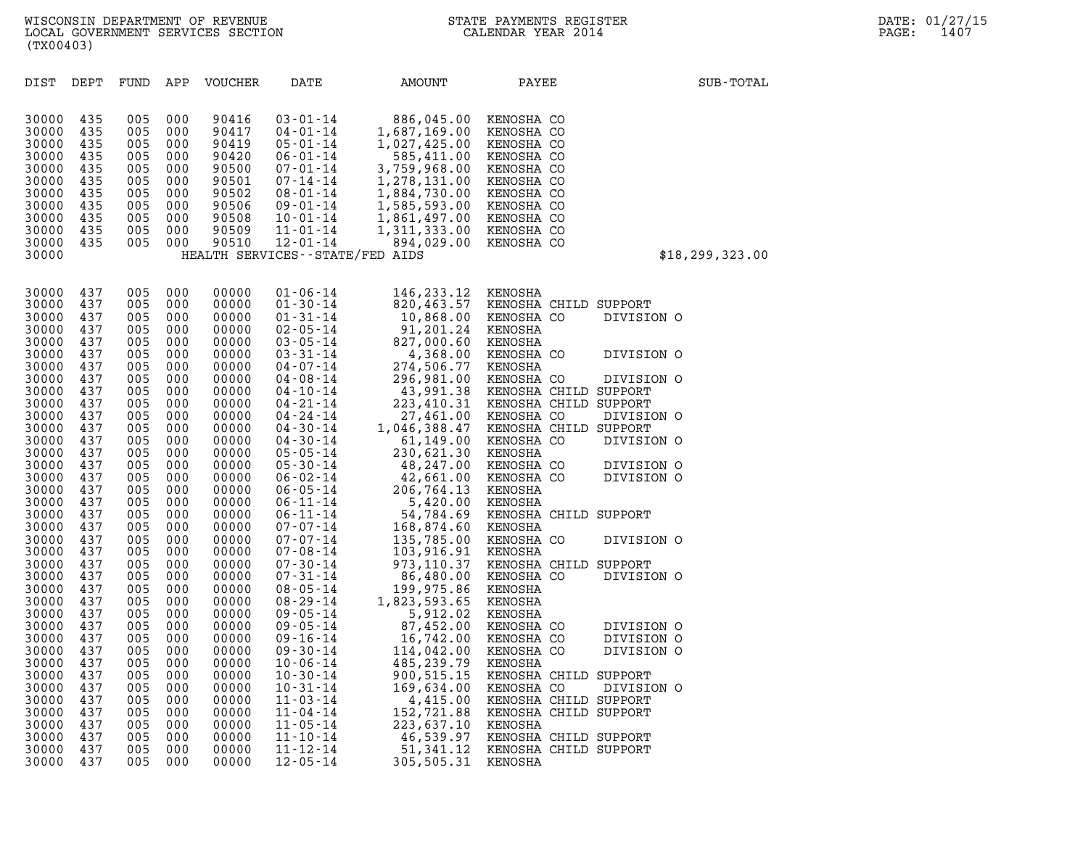| (TX00403)                                                                                                                                                                                                                                                |                                                                                                                                                                                                  |                                                                                                                                                                                                  |                                                                                                                                                                                                  |                                                                                                                                                                                                                                                          |                                                                                                                                                                                                                                    |                                                                                                                                                                                                                                                                                                                              |                                                                                                                                                                          |                                                                                                                                          |
|----------------------------------------------------------------------------------------------------------------------------------------------------------------------------------------------------------------------------------------------------------|--------------------------------------------------------------------------------------------------------------------------------------------------------------------------------------------------|--------------------------------------------------------------------------------------------------------------------------------------------------------------------------------------------------|--------------------------------------------------------------------------------------------------------------------------------------------------------------------------------------------------|----------------------------------------------------------------------------------------------------------------------------------------------------------------------------------------------------------------------------------------------------------|------------------------------------------------------------------------------------------------------------------------------------------------------------------------------------------------------------------------------------|------------------------------------------------------------------------------------------------------------------------------------------------------------------------------------------------------------------------------------------------------------------------------------------------------------------------------|--------------------------------------------------------------------------------------------------------------------------------------------------------------------------|------------------------------------------------------------------------------------------------------------------------------------------|
| DIST                                                                                                                                                                                                                                                     | DEPT                                                                                                                                                                                             | FUND                                                                                                                                                                                             | APP                                                                                                                                                                                              | VOUCHER                                                                                                                                                                                                                                                  | DATE                                                                                                                                                                                                                               | AMOUNT                                                                                                                                                                                                                                                                                                                       | PAYEE                                                                                                                                                                    | SUB-TOTAL                                                                                                                                |
| 30000<br>30000<br>30000<br>30000<br>30000<br>30000<br>30000<br>30000<br>30000<br>30000<br>30000<br>30000                                                                                                                                                 | 435<br>435<br>435<br>435<br>435<br>435<br>435<br>435<br>435<br>435<br>435                                                                                                                        | 005<br>005<br>005<br>005<br>005<br>005<br>005<br>005<br>005<br>005<br>005                                                                                                                        | 000<br>000<br>000<br>000<br>000<br>000<br>000<br>000<br>000<br>000<br>000                                                                                                                        | 90416<br>90417<br>90419<br>90420<br>90500<br>90501<br>90502<br>90506<br>90508<br>90509<br>90510                                                                                                                                                          | $03 - 01 - 14$<br>$04 - 01 - 14$<br>$05 - 01 - 14$<br>$06 - 01 - 14$<br>$07 - 01 - 14$<br>$07 - 14 - 14$<br>$08 - 01 - 14$<br>09-01-14<br>$10 - 01 - 14$<br>$11 - 01 - 14$<br>$12 - 01 - 14$<br>HEALTH SERVICES - - STATE/FED AIDS | 886,045.00<br>886,045.00<br>1,687,169.00<br>1, 087, 109.00 KENOSHA CO<br>585, 411.00 KENOSHA CO<br>585, 411.00 KENOSHA CO<br>3, 759, 968.00 KENOSHA CO<br>1, 278, 131.00 KENOSHA CO<br>1, 884, 730.00 KENOSHA CO<br>1, 585, 593.00 KENOSHA CO<br>1,861,497.00 KENOSHA CO<br>1,311,333.00 KENOSHA CO<br>894,029.00 KENOSHA CO | KENOSHA CO<br>KENOSHA CO                                                                                                                                                 | \$18, 299, 323.00                                                                                                                        |
| 30000<br>30000<br>30000<br>30000<br>30000<br>30000<br>30000<br>30000<br>30000<br>30000<br>30000<br>30000<br>30000<br>30000<br>30000<br>30000<br>30000<br>30000<br>30000<br>30000<br>30000<br>30000<br>30000<br>30000<br>30000<br>30000<br>30000<br>30000 | 437<br>437<br>437<br>437<br>437<br>437<br>437<br>437<br>437<br>437<br>437<br>437<br>437<br>437<br>437<br>437<br>437<br>437<br>437<br>437<br>437<br>437<br>437<br>437<br>437<br>437<br>437<br>437 | 005<br>005<br>005<br>005<br>005<br>005<br>005<br>005<br>005<br>005<br>005<br>005<br>005<br>005<br>005<br>005<br>005<br>005<br>005<br>005<br>005<br>005<br>005<br>005<br>005<br>005<br>005<br>005 | 000<br>000<br>000<br>000<br>000<br>000<br>000<br>000<br>000<br>000<br>000<br>000<br>000<br>000<br>000<br>000<br>000<br>000<br>000<br>000<br>000<br>000<br>000<br>000<br>000<br>000<br>000<br>000 | 00000<br>00000<br>00000<br>00000<br>00000<br>00000<br>00000<br>00000<br>00000<br>00000<br>00000<br>00000<br>00000<br>00000<br>00000<br>00000<br>00000<br>00000<br>00000<br>00000<br>00000<br>00000<br>00000<br>00000<br>00000<br>00000<br>00000<br>00000 |                                                                                                                                                                                                                                    |                                                                                                                                                                                                                                                                                                                              |                                                                                                                                                                          | DIVISION O<br>DIVISION O<br>DIVISION O<br>DIVISION O<br>DIVISION O<br>DIVISION O<br>DIVISION O<br>DIVISION O<br>DIVISION O<br>DIVISION O |
| 30000<br>30000<br>30000<br>30000<br>30000<br>30000<br>30000<br>30000<br>30000<br>30000<br>30000                                                                                                                                                          | 437<br>437<br>437<br>437<br>437<br>437<br>437<br>437<br>437<br>437<br>437                                                                                                                        | 005<br>005<br>005<br>005<br>005<br>005<br>005<br>005<br>005<br>005<br>005                                                                                                                        | 000<br>000<br>000<br>000<br>000<br>000<br>000<br>000<br>000<br>000<br>000                                                                                                                        | 00000<br>00000<br>00000<br>00000<br>00000<br>00000<br>00000<br>00000<br>00000<br>00000<br>00000                                                                                                                                                          | $10 - 06 - 14$<br>$10 - 30 - 14$<br>$10 - 31 - 14$<br>$11 - 03 - 14$<br>$11 - 04 - 14$<br>$11 - 05 - 14$<br>$11 - 10 - 14$<br>$11 - 12 - 14$<br>$12 - 05 - 14$                                                                     | 485,239.79<br>900,515.15<br>169,634.00<br>4,415.00<br>152,721.88<br>223,637.10<br>46,539.97<br>51,341.12<br>305,505.31                                                                                                                                                                                                       | KENOSHA<br>KENOSHA CHILD SUPPORT<br>KENOSHA CO<br>KENOSHA CHILD SUPPORT<br>KENOSHA CHILD SUPPORT<br>KENOSHA<br>KENOSHA CHILD SUPPORT<br>KENOSHA CHILD SUPPORT<br>KENOSHA | DIVISION O<br>DIVISION O<br>DIVISION O                                                                                                   |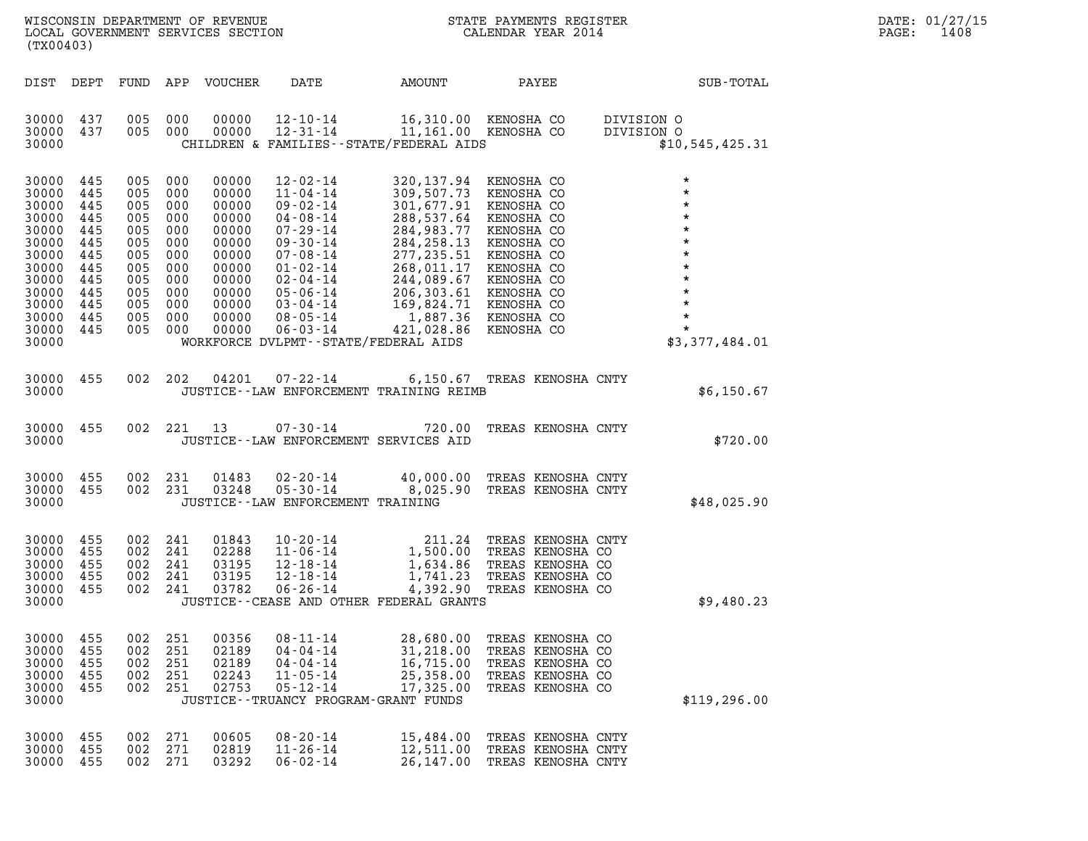|       | DATE: 01/27/15 |
|-------|----------------|
| PAGE: | 1408           |

| (TX00403)                                                                                                                                                                                                                                                                                                                                                                                                                                                                                                                                                                                  |                                                                                                                                                                                                                                                                                                    |                               | DATE: 01/27/15<br>1408<br>PAGE: |
|--------------------------------------------------------------------------------------------------------------------------------------------------------------------------------------------------------------------------------------------------------------------------------------------------------------------------------------------------------------------------------------------------------------------------------------------------------------------------------------------------------------------------------------------------------------------------------------------|----------------------------------------------------------------------------------------------------------------------------------------------------------------------------------------------------------------------------------------------------------------------------------------------------|-------------------------------|---------------------------------|
| DIST DEPT<br>FUND APP VOUCHER                                                                                                                                                                                                                                                                                                                                                                                                                                                                                                                                                              | DATE AMOUNT<br>PAYEE                                                                                                                                                                                                                                                                               | SUB-TOTAL                     |                                 |
| 30000 437<br>005 000<br>00000<br>005 000<br>00000<br>30000 437<br>30000                                                                                                                                                                                                                                                                                                                                                                                                                                                                                                                    | 12-10-14   16,310.00   KENOSHA   CO   DIVISION   0<br>12-31-14 11,161.00 KENOSHA CO<br>CHILDREN & FAMILIES -- STATE/FEDERAL AIDS                                                                                                                                                                   | DIVISION O<br>\$10,545,425.31 |                                 |
| 30000 445<br>005<br>000<br>00000<br>$12 - 02 - 14$<br>$11 - 04 - 14$<br>30000 445<br>005<br>000<br>00000<br>30000<br>445<br>005<br>000<br>00000<br>30000<br>445<br>005<br>000<br>00000<br>30000<br>445<br>005<br>000<br>00000<br>30000<br>445<br>005<br>000<br>00000<br>30000<br>445<br>005<br>000<br>00000<br>30000<br>445<br>005<br>000<br>00000<br>30000<br>445<br>005<br>000<br>00000<br>30000<br>445<br>005<br>000<br>00000<br>30000<br>445<br>005<br>000<br>00000<br>30000 445<br>005 000<br>00000<br>30000 445<br>005 000<br>00000<br>30000<br>WORKFORCE DVLPMT--STATE/FEDERAL AIDS | 320,137.94 KENOSHA CO<br>309,507.73 KENOSHA CO<br>11-04-14 309, 507.73 KENOSHA CO<br>04-08-14 288, 537.64 KENOSHA CO<br>07-29-14 288, 537.75 KENOSHA CO<br>07-29-14 284, 258.13 KENOSHA CO<br>09-30-14 284, 258.13 KENOSHA CO<br>07-08-14 277, 235.51 KENOSHA CO<br>01-02-14 268, 011.17 KENOSHA C |                               |                                 |
| 002 202 04201 07-22-14 6,150.67 TREAS KENOSHA CNTY<br>30000 455<br>30000<br>JUSTICE -- LAW ENFORCEMENT TRAINING REIMB                                                                                                                                                                                                                                                                                                                                                                                                                                                                      |                                                                                                                                                                                                                                                                                                    | \$6,150.67                    |                                 |
| 002 221 13 07-30-14 720.00<br>30000 455<br>30000<br>JUSTICE -- LAW ENFORCEMENT SERVICES AID                                                                                                                                                                                                                                                                                                                                                                                                                                                                                                | TREAS KENOSHA CNTY                                                                                                                                                                                                                                                                                 | \$720.00                      |                                 |
| 30000 455<br>002<br>231<br>01483<br>002 231<br>30000 455<br>03248<br>05-30-14<br>30000<br>JUSTICE--LAW ENFORCEMENT TRAINING                                                                                                                                                                                                                                                                                                                                                                                                                                                                | 02-20-14 40,000.00 TREAS KENOSHA CNTY<br>05-30-14 8,025.90 TREAS KENOSHA CNTY                                                                                                                                                                                                                      | \$48,025.90                   |                                 |
| 30000 455<br>002 241<br>01843<br>30000<br>455<br>002<br>241<br>02288<br>241<br>30000<br>455<br>002<br>03195<br>30000<br>455<br>002<br>241<br>03195<br>30000<br>455<br>002 241<br>03782<br>$06 - 26 - 14$<br>30000<br>JUSTICE -- CEASE AND OTHER FEDERAL GRANTS                                                                                                                                                                                                                                                                                                                             | 4,392.90<br>TREAS KENOSHA CO                                                                                                                                                                                                                                                                       | \$9,480.23                    |                                 |
| 30000<br>$08 - 11 - 14$<br>455<br>002<br>251<br>00356<br>30000<br>455<br>002<br>251<br>02189<br>$04 - 04 - 14$<br>30000<br>455<br>002<br>251<br>02189<br>$04 - 04 - 14$<br>30000<br>455<br>002<br>251<br>02243<br>$11 - 05 - 14$<br>30000<br>455<br>002<br>251<br>02753<br>$05 - 12 - 14$<br>30000<br>JUSTICE - - TRUANCY PROGRAM - GRANT FUNDS                                                                                                                                                                                                                                            | 28,680.00<br>TREAS KENOSHA CO<br>31,218.00<br>TREAS KENOSHA CO<br>16,715.00<br>TREAS KENOSHA CO<br>25,358.00<br>TREAS KENOSHA CO<br>17,325.00<br>TREAS KENOSHA CO                                                                                                                                  | \$119, 296.00                 |                                 |
| 30000<br>$08 - 20 - 14$<br>455<br>002<br>271<br>00605<br>30000<br>455<br>002<br>271<br>02819<br>$11 - 26 - 14$<br>30000<br>455<br>002<br>271<br>03292<br>$06 - 02 - 14$                                                                                                                                                                                                                                                                                                                                                                                                                    | 15,484.00<br>TREAS KENOSHA CNTY<br>12,511.00<br>TREAS KENOSHA CNTY<br>26,147.00<br>TREAS KENOSHA CNTY                                                                                                                                                                                              |                               |                                 |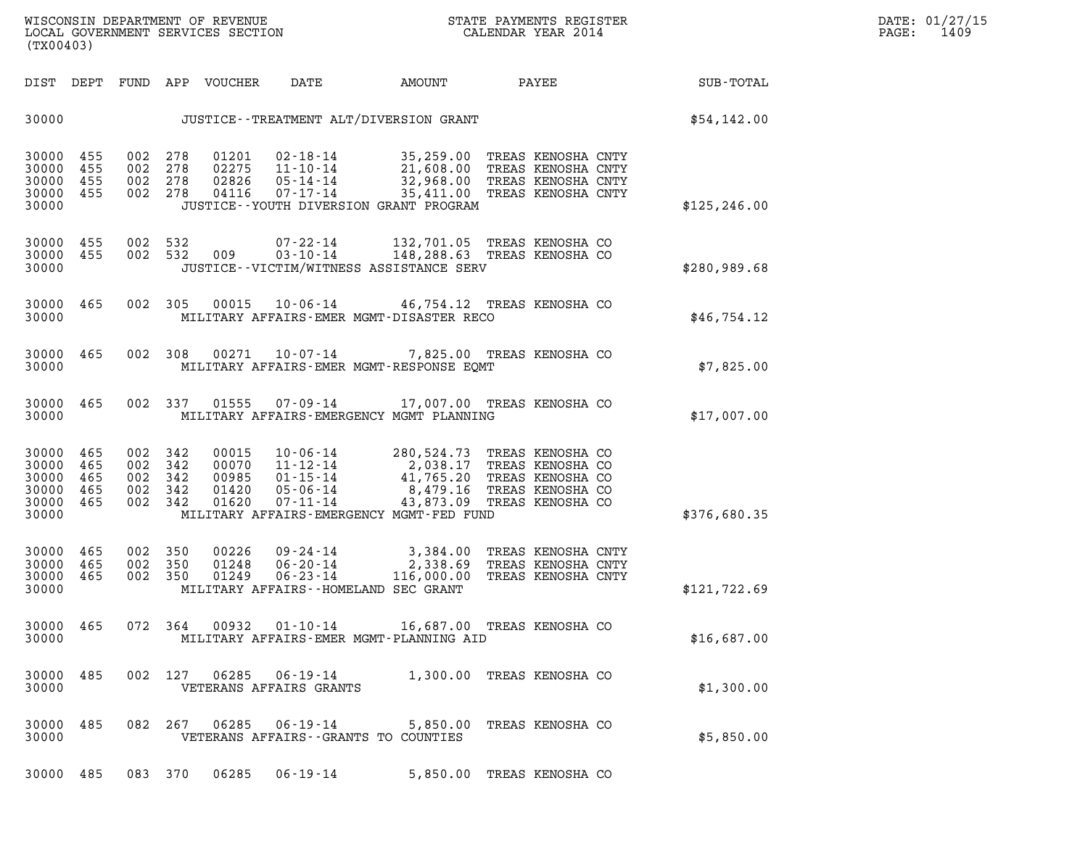| (TX00403)                                                                             |                                 |                                                                              |                                                                                                                                    |                                                |                                                                                                             |                  |
|---------------------------------------------------------------------------------------|---------------------------------|------------------------------------------------------------------------------|------------------------------------------------------------------------------------------------------------------------------------|------------------------------------------------|-------------------------------------------------------------------------------------------------------------|------------------|
| DIST<br>DEPT                                                                          | FUND                            | APP<br>VOUCHER                                                               | DATE                                                                                                                               | AMOUNT                                         | PAYEE                                                                                                       | <b>SUB-TOTAL</b> |
| 30000                                                                                 |                                 |                                                                              | JUSTICE - - TREATMENT ALT/DIVERSION GRANT                                                                                          |                                                |                                                                                                             | \$54,142.00      |
| 30000<br>455<br>455<br>30000<br>30000<br>455<br>30000<br>455<br>30000                 | 002<br>002<br>002<br>002        | 01201<br>278<br>278<br>02275<br>278<br>02826<br>278<br>04116                 | $02 - 18 - 14$<br>$11 - 10 - 14$<br>$05 - 14 - 14$<br>$07 - 17 - 14$<br>JUSTICE -- YOUTH DIVERSION GRANT PROGRAM                   | 21,608.00<br>32,968.00<br>35,411.00            | 35,259.00 TREAS KENOSHA CNTY<br>TREAS KENOSHA CNTY<br>TREAS KENOSHA CNTY<br>TREAS KENOSHA CNTY              | \$125, 246.00    |
| 455<br>30000<br>455<br>30000<br>30000                                                 | 002<br>002                      | 532<br>532<br>009                                                            | $07 - 22 - 14$<br>$03 - 10 - 14$<br>JUSTICE - - VICTIM/WITNESS ASSISTANCE SERV                                                     | 148,288.63                                     | 132,701.05 TREAS KENOSHA CO<br>TREAS KENOSHA CO                                                             | \$280,989.68     |
| 30000<br>465<br>30000                                                                 | 002                             | 305<br>00015                                                                 | $10 - 06 - 14$<br>MILITARY AFFAIRS-EMER MGMT-DISASTER RECO                                                                         |                                                | 46,754.12 TREAS KENOSHA CO                                                                                  | \$46,754.12      |
| 30000<br>465<br>30000                                                                 | 002                             | 308<br>00271                                                                 | $10 - 07 - 14$<br>MILITARY AFFAIRS-EMER MGMT-RESPONSE EQMT                                                                         |                                                | 7,825.00 TREAS KENOSHA CO                                                                                   | \$7,825.00       |
| 30000<br>465<br>30000                                                                 | 002                             | 337<br>01555                                                                 | $07 - 09 - 14$<br>MILITARY AFFAIRS-EMERGENCY MGMT PLANNING                                                                         |                                                | 17,007.00 TREAS KENOSHA CO                                                                                  | \$17,007.00      |
| 30000<br>465<br>30000<br>465<br>30000<br>465<br>30000<br>465<br>465<br>30000<br>30000 | 002<br>002<br>002<br>002<br>002 | 342<br>00015<br>342<br>00070<br>342<br>00985<br>342<br>01420<br>342<br>01620 | $10 - 06 - 14$<br>$11 - 12 - 14$<br>$01 - 15 - 14$<br>$05 - 06 - 14$<br>$07 - 11 - 14$<br>MILITARY AFFAIRS-EMERGENCY MGMT-FED FUND | 2,038.17<br>41,765.20<br>8,479.16<br>43,873.09 | 280,524.73 TREAS KENOSHA CO<br>TREAS KENOSHA CO<br>TREAS KENOSHA CO<br>TREAS KENOSHA CO<br>TREAS KENOSHA CO | \$376,680.35     |
| 30000<br>465<br>465<br>30000<br>30000<br>465<br>30000                                 | 002<br>002<br>002               | 350<br>00226<br>350<br>01248<br>350<br>01249                                 | 09-24-14<br>$06 - 20 - 14$<br>$06 - 23 - 14$<br>MILITARY AFFAIRS -- HOMELAND SEC GRANT                                             | 3,384.00<br>2,338.69<br>116,000.00             | TREAS KENOSHA CNTY<br>TREAS KENOSHA CNTY<br>TREAS KENOSHA CNTY                                              | \$121, 722.69    |
| 30000<br>465<br>30000                                                                 | 072                             | 00932<br>364                                                                 | $01 - 10 - 14$<br>MILITARY AFFAIRS-EMER MGMT-PLANNING AID                                                                          |                                                | 16,687.00 TREAS KENOSHA CO                                                                                  | \$16,687.00      |
| 30000<br>485<br>30000                                                                 | 002                             | 127<br>06285                                                                 | $06 - 19 - 14$<br>VETERANS AFFAIRS GRANTS                                                                                          |                                                | 1,300.00 TREAS KENOSHA CO                                                                                   | \$1,300.00       |
| 30000<br>485<br>30000                                                                 | 082                             | 267<br>06285                                                                 | $06 - 19 - 14$<br>VETERANS AFFAIRS -- GRANTS TO COUNTIES                                                                           |                                                | 5,850.00 TREAS KENOSHA CO                                                                                   | \$5,850.00       |
| 30000 485                                                                             |                                 | 083 370<br>06285                                                             | 06-19-14                                                                                                                           |                                                | 5,850.00 TREAS KENOSHA CO                                                                                   |                  |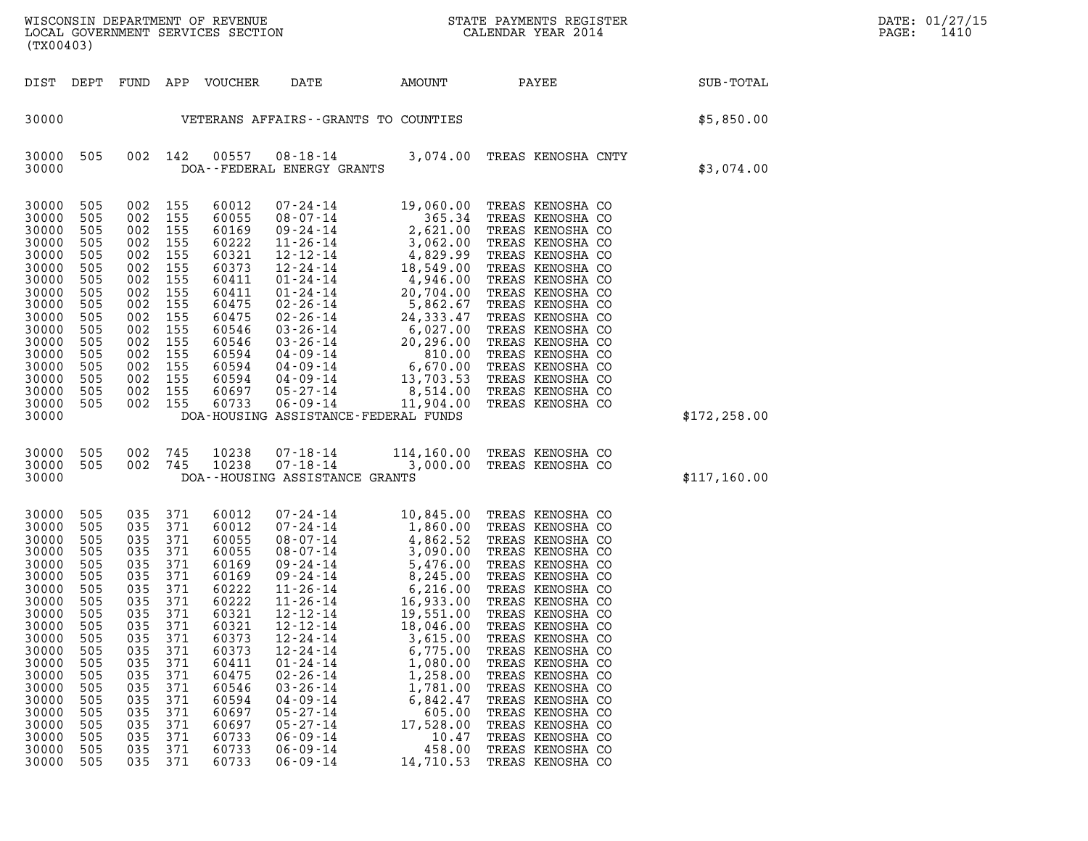| DATE: | 01/27/15 |
|-------|----------|
| PAGE: | 1410     |

| (TX00403)                                                                                                                                                                                 |                                                                                                                                                 |                                                                                                                                                                         |                                                                                                                                          |                                                                                                                                                                                           |                                                                                                                                                                                                                                                                                                                                                                                                                                     |                                                                                                                                                                                |                                                                                                                                                                                                                                                                                                                                                                                                                                            |               | DATE: 01/27/15<br>PAGE:<br>1410 |
|-------------------------------------------------------------------------------------------------------------------------------------------------------------------------------------------|-------------------------------------------------------------------------------------------------------------------------------------------------|-------------------------------------------------------------------------------------------------------------------------------------------------------------------------|------------------------------------------------------------------------------------------------------------------------------------------|-------------------------------------------------------------------------------------------------------------------------------------------------------------------------------------------|-------------------------------------------------------------------------------------------------------------------------------------------------------------------------------------------------------------------------------------------------------------------------------------------------------------------------------------------------------------------------------------------------------------------------------------|--------------------------------------------------------------------------------------------------------------------------------------------------------------------------------|--------------------------------------------------------------------------------------------------------------------------------------------------------------------------------------------------------------------------------------------------------------------------------------------------------------------------------------------------------------------------------------------------------------------------------------------|---------------|---------------------------------|
|                                                                                                                                                                                           |                                                                                                                                                 |                                                                                                                                                                         |                                                                                                                                          | DIST DEPT FUND APP VOUCHER                                                                                                                                                                | DATE                                                                                                                                                                                                                                                                                                                                                                                                                                |                                                                                                                                                                                | AMOUNT PAYEE                                                                                                                                                                                                                                                                                                                                                                                                                               | SUB-TOTAL     |                                 |
| 30000                                                                                                                                                                                     |                                                                                                                                                 |                                                                                                                                                                         |                                                                                                                                          |                                                                                                                                                                                           | VETERANS AFFAIRS--GRANTS TO COUNTIES                                                                                                                                                                                                                                                                                                                                                                                                |                                                                                                                                                                                |                                                                                                                                                                                                                                                                                                                                                                                                                                            | \$5,850.00    |                                 |
| 30000 505<br>30000                                                                                                                                                                        |                                                                                                                                                 | 002 142                                                                                                                                                                 |                                                                                                                                          | 00557                                                                                                                                                                                     | DOA--FEDERAL ENERGY GRANTS                                                                                                                                                                                                                                                                                                                                                                                                          |                                                                                                                                                                                | 08-18-14 3,074.00 TREAS KENOSHA CNTY                                                                                                                                                                                                                                                                                                                                                                                                       | \$3,074.00    |                                 |
| 30000<br>30000<br>30000<br>30000<br>30000<br>30000<br>30000<br>30000<br>30000<br>30000<br>30000<br>30000<br>30000<br>30000<br>30000<br>30000<br>30000<br>30000                            | 505<br>505<br>505<br>505<br>505<br>505<br>505<br>505<br>505<br>505<br>505<br>505<br>505<br>505<br>505<br>505<br>505                             | 002 155<br>002 155<br>002 155<br>002 155<br>002 155<br>002 155<br>002<br>002 155<br>002<br>002 155<br>002<br>002 155<br>002<br>002 155<br>002 155<br>002 155<br>002 155 | 155<br>155<br>155<br>155                                                                                                                 | 60012<br>60055<br>60169<br>60222<br>60321<br>60373<br>60411<br>60411<br>60475<br>60475<br>60546<br>60546<br>60594<br>60594<br>60594<br>60697<br>60733                                     | $\begin{array}{cccc} 07\text{-}24\text{-}14 & 19\text{, }060\text{.}00 \\ 08\text{-}07\text{-}14 & 365\text{.}34 \\ 09\text{-}24\text{-}14 & 2\text{, }621\text{.}00 \\ 11\text{-}26\text{-}14 & 3\text{, }062\text{.}00 \\ 12\text{-}12\text{-}14 & 4, 829\text{-}99 \\ 12\text{-}24\text{-}14 & 18\text{, }549\text{.}00 \\ 01\text{-}24\text{-}14 & $<br>DOA-HOUSING ASSISTANCE-FEDERAL FUNDS                                    |                                                                                                                                                                                | 19,060.00 TREAS KENOSHA CO<br>365.34 TREAS KENOSHA CO<br>TREAS KENOSHA CO<br>TREAS KENOSHA CO<br>TREAS KENOSHA CO<br>TREAS KENOSHA CO<br>TREAS KENOSHA CO<br>TREAS KENOSHA CO<br>TREAS KENOSHA CO<br>TREAS KENOSHA CO<br>TREAS KENOSHA CO<br>TREAS KENOSHA CO<br>TREAS KENOSHA CO<br>TREAS KENOSHA CO<br>TREAS KENOSHA CO<br>TREAS KENOSHA CO<br>TREAS KENOSHA CO                                                                          | \$172, 258.00 |                                 |
| 30000<br>30000 505<br>30000                                                                                                                                                               | 505                                                                                                                                             | 002 745<br>002 745                                                                                                                                                      |                                                                                                                                          | 10238<br>10238                                                                                                                                                                            | 07 - 18 - 14<br>07 - 18 - 14<br>DOA--HOUSING ASSISTANCE GRANTS                                                                                                                                                                                                                                                                                                                                                                      | 114,160.00                                                                                                                                                                     | TREAS KENOSHA CO<br>3,000.00 TREAS KENOSHA CO                                                                                                                                                                                                                                                                                                                                                                                              | \$117,160.00  |                                 |
| 30000<br>30000<br>30000<br>30000<br>30000<br>30000<br>30000<br>30000<br>30000<br>30000<br>30000<br>30000<br>30000<br>30000<br>30000<br>30000<br>30000<br>30000<br>30000<br>30000<br>30000 | 505<br>505<br>505<br>505<br>505<br>505<br>505<br>505<br>505<br>505<br>505<br>505<br>505<br>505<br>505<br>505<br>505<br>505<br>505<br>505<br>505 | 035<br>035<br>035<br>035<br>035<br>035<br>035 371<br>035<br>035<br>035<br>035<br>035<br>035<br>035<br>035<br>035<br>035<br>035<br>035<br>035<br>035                     | 371<br>371<br>371<br>371<br>371<br>371<br>371<br>371<br>371<br>371<br>371<br>371<br>371<br>371<br>371<br>371<br>371<br>371<br>371<br>371 | 60012<br>60012<br>60055<br>60055<br>60169<br>60169<br>60222<br>60222<br>60321<br>60321<br>60373<br>60373<br>60411<br>60475<br>60546<br>60594<br>60697<br>60697<br>60733<br>60733<br>60733 | $07 - 24 - 14$<br>$0.7 - 24 - 14$<br>$0.860.00$<br>$0.07 - 24 - 14$<br>$0.862.52$<br>$0.08 - 07 - 14$<br>$0.09 - 24 - 14$<br>$0.245.00$<br>$0.245.00$<br>$11 - 26 - 14$<br>$11 - 26 - 14$<br>$12 - 12 - 14$<br>$12 - 12 - 14$<br>$12 - 24 - 14$<br>$12 - 24 - 14$<br>$01 - 24 - 14$<br>$02 - 26 - 14$<br>$03 - 26 - 14$<br>$04 - 09 - 14$<br>$05 - 27 - 14$<br>$05 - 27 - 14$<br>$06 - 09 - 14$<br>$06 - 09 - 14$<br>$06 - 09 - 14$ | 6,216.00<br>16,933.00<br>19,551.00<br>18,046.00<br>3,615.00<br>6,775.00<br>1,080.00<br>1,258.00<br>1,781.00<br>6,842.47<br>605.00<br>17,528.00<br>10.47<br>458.00<br>14,710.53 | 10,845.00 TREAS KENOSHA CO<br>TREAS KENOSHA CO<br>TREAS KENOSHA CO<br>TREAS KENOSHA CO<br>TREAS KENOSHA CO<br>TREAS KENOSHA CO<br>TREAS KENOSHA CO<br>TREAS KENOSHA CO<br>TREAS KENOSHA CO<br>TREAS KENOSHA CO<br>TREAS KENOSHA CO<br>TREAS KENOSHA CO<br>TREAS KENOSHA CO<br>TREAS KENOSHA CO<br>TREAS KENOSHA CO<br>TREAS KENOSHA CO<br>TREAS KENOSHA CO<br>TREAS KENOSHA CO<br>TREAS KENOSHA CO<br>TREAS KENOSHA CO<br>TREAS KENOSHA CO |               |                                 |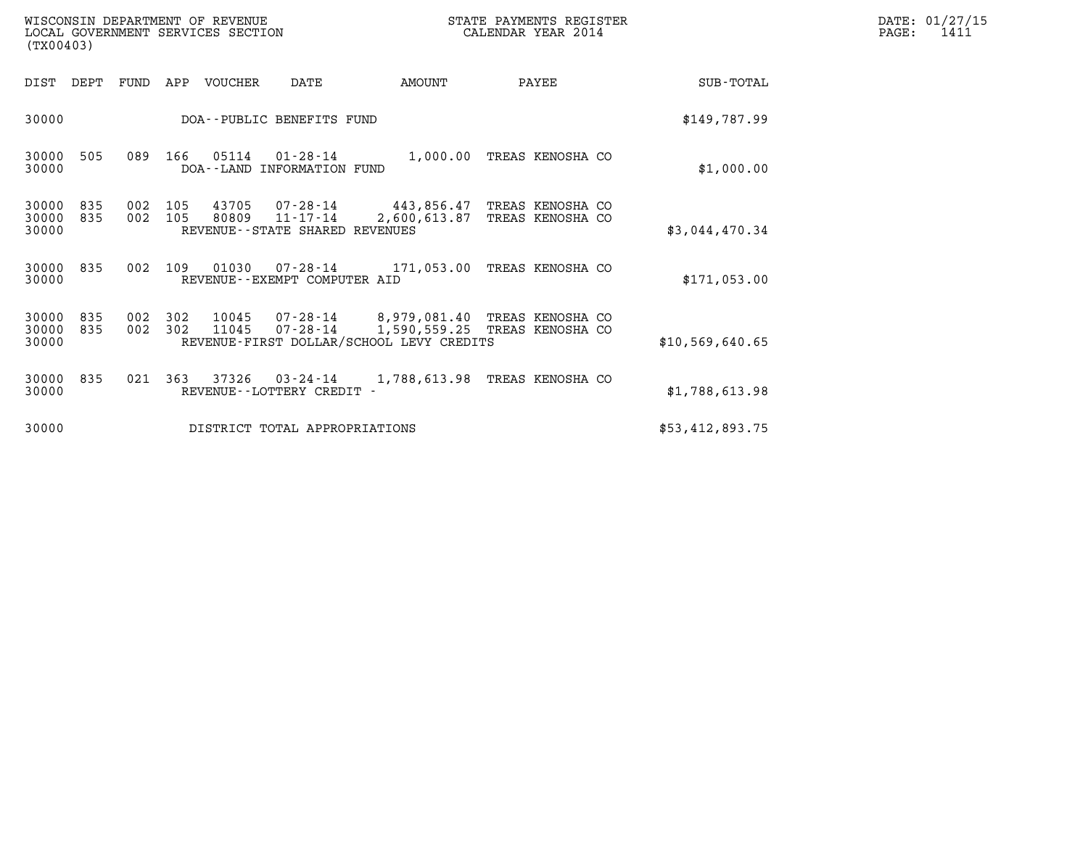| WISCONSIN DEPARTMENT OF REVENUE   | STATE PAYMENTS REGISTER | DATE: 01/27/15 |
|-----------------------------------|-------------------------|----------------|
| LOCAL GOVERNMENT SERVICES SECTION | CALENDAR YEAR 2014      | 1411<br>PAGE:  |

| (TX00403)    | WISCONSIN DEPARTMENT OF REVENUE<br>LOCAL GOVERNMENT SERVICES SECTION |                | STATE PAYMENTS REGISTER<br>CALENDAR YEAR 2014 |              | DATE: 01/27/15<br>1411<br>PAGE: |
|--------------|----------------------------------------------------------------------|----------------|-----------------------------------------------|--------------|---------------------------------|
| DIST<br>DEPT | <b>VOUCHER</b><br>APP<br>FUND                                        | DATE<br>AMOUNT | PAYEE                                         | SUB-TOTAL    |                                 |
| 30000        | DOA--PUBLIC BENEFITS FUND                                            |                |                                               | \$149,787.99 |                                 |

| 30000          | DOA--PUBLIC BENEFITS FUND |     |     |       |                                            |  |                           |  | \$149,787.99 |
|----------------|---------------------------|-----|-----|-------|--------------------------------------------|--|---------------------------|--|--------------|
| 30000<br>30000 | 505                       | 089 | 166 | 05114 | 01 - 28 - 14<br>DOA--LAND INFORMATION FUND |  | 1,000.00 TREAS KENOSHA CO |  | \$1,000.00   |

| 30000                           |         |               | DOA--LAND INFORMATION FUND                                       |                            |                                      | \$1,000.00     |
|---------------------------------|---------|---------------|------------------------------------------------------------------|----------------------------|--------------------------------------|----------------|
| 30000 835<br>30000 835<br>30000 | 002 105 | 002 105 43705 | 07 - 28 - 14<br>80809 11-17-14<br>REVENUE--STATE SHARED REVENUES | 443,856.47<br>2.600.613.87 | TREAS KENOSHA CO<br>TREAS KENOSHA CO | \$3,044,470.34 |

| 30000              |         |  | REVENUE--STATE SHARED REVENUES                 |                             | \$3,044,470.34 |
|--------------------|---------|--|------------------------------------------------|-----------------------------|----------------|
| 30000 835<br>30000 | 002 109 |  | 01030 07-28-14<br>REVENUE--EXEMPT COMPUTER AID | 171,053.00 TREAS KENOSHA CO | \$171,053.00   |

| 30000                                 | REVENUE--EXEMPT COMPUTER AID                                                                             |                                                                | \$171,053.00    |
|---------------------------------------|----------------------------------------------------------------------------------------------------------|----------------------------------------------------------------|-----------------|
| 30000<br>835<br>30000<br>835<br>30000 | 002 302<br>10045<br>07-28-14<br>002 302<br>11045<br>07-28-14<br>REVENUE-FIRST DOLLAR/SCHOOL LEVY CREDITS | 8,979,081,40 TREAS KENOSHA CO<br>1,590,559.25 TREAS KENOSHA CO | \$10,569,640.65 |

| 30000          |     | REVENUE-FIRST DOLLAR/SCHOOL LEVY CREDITS                                                         | \$10,569,640.65 |  |
|----------------|-----|--------------------------------------------------------------------------------------------------|-----------------|--|
| 30000<br>30000 | 835 | 021 363<br>1,788,613.98<br>03-24-14<br>TREAS KENOSHA CO<br>37326<br>REVENUE - - LOTTERY CREDIT - | \$1,788,613.98  |  |
| 30000          |     | DISTRICT TOTAL APPROPRIATIONS                                                                    | \$53,412,893.75 |  |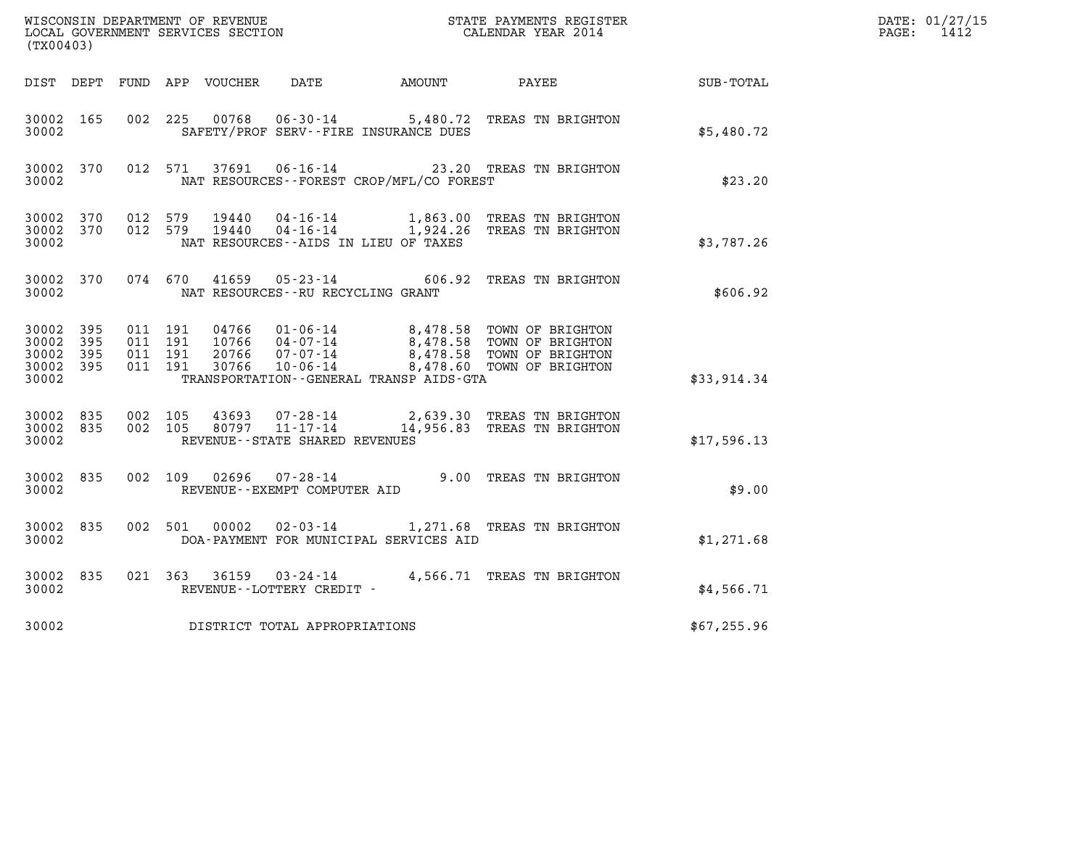|                                               |                     |                                          |         |                         |                                        |                                              |                                                                                                                           |                  | DATE: 01/27/15<br>$\mathtt{PAGE:}$<br>1412 |
|-----------------------------------------------|---------------------|------------------------------------------|---------|-------------------------|----------------------------------------|----------------------------------------------|---------------------------------------------------------------------------------------------------------------------------|------------------|--------------------------------------------|
| (TX00403)                                     |                     |                                          |         |                         |                                        |                                              |                                                                                                                           |                  |                                            |
|                                               |                     |                                          |         |                         |                                        | DIST DEPT FUND APP VOUCHER DATE AMOUNT PAYEE |                                                                                                                           | <b>SUB-TOTAL</b> |                                            |
| 30002 165<br>30002                            |                     |                                          | 002 225 |                         |                                        | SAFETY/PROF SERV--FIRE INSURANCE DUES        | 00768  06-30-14  5,480.72  TREAS TN BRIGHTON                                                                              | \$5,480.72       |                                            |
| 30002 370<br>30002                            |                     |                                          | 012 571 |                         |                                        | NAT RESOURCES - - FOREST CROP/MFL/CO FOREST  | 37691  06-16-14  23.20  TREAS TN BRIGHTON                                                                                 | \$23.20          |                                            |
| 30002 370<br>30002                            | 30002 370           | 012 579<br>012 579                       |         | 19440                   |                                        | NAT RESOURCES--AIDS IN LIEU OF TAXES         | 04-16-14 1,863.00 TREAS TN BRIGHTON<br>19440  04-16-14   1,924.26   TREAS TN BRIGHTON                                     | \$3,787.26       |                                            |
| 30002 370<br>30002                            |                     |                                          |         | 074 670 41659           | NAT RESOURCES--RU RECYCLING GRANT      |                                              | 05-23-14 606.92 TREAS TN BRIGHTON                                                                                         | \$606.92         |                                            |
| 30002 395<br>30002<br>30002<br>30002<br>30002 | 395<br>395<br>- 395 | 011 191<br>011 191<br>011 191<br>011 191 |         | 04766<br>20766<br>30766 | 10766 04-07-14<br>07-07-14<br>10-06-14 | TRANSPORTATION - - GENERAL TRANSP AIDS - GTA | 01-06-14 8,478.58 TOWN OF BRIGHTON<br>8,478.58 TOWN OF BRIGHTON<br>8,478.58 TOWN OF BRIGHTON<br>8,478.60 TOWN OF BRIGHTON | \$33,914.34      |                                            |
| 30002 835<br>30002 835<br>30002               |                     | 002 105<br>002 105                       |         |                         | REVENUE--STATE SHARED REVENUES         |                                              | 43693  07-28-14  2,639.30  TREAS TN BRIGHTON<br>80797  11-17-14  14,956.83  TREAS TN BRIGHTON                             | \$17,596.13      |                                            |
| 30002 835<br>30002                            |                     |                                          |         |                         | REVENUE--EXEMPT COMPUTER AID           |                                              | 002 109 02696 07-28-14 9.00 TREAS TN BRIGHTON                                                                             | \$9.00           |                                            |
| 30002 835<br>30002                            |                     |                                          |         |                         |                                        | DOA-PAYMENT FOR MUNICIPAL SERVICES AID       | 002 501 00002 02-03-14 1,271.68 TREAS TN BRIGHTON                                                                         | \$1,271.68       |                                            |
| 30002 835<br>30002                            |                     |                                          |         | 021 363 36159           | REVENUE - - LOTTERY CREDIT -           |                                              | 03-24-14 4,566.71 TREAS TN BRIGHTON                                                                                       | \$4,566.71       |                                            |
| 30002                                         |                     |                                          |         |                         | DISTRICT TOTAL APPROPRIATIONS          |                                              |                                                                                                                           | \$67,255.96      |                                            |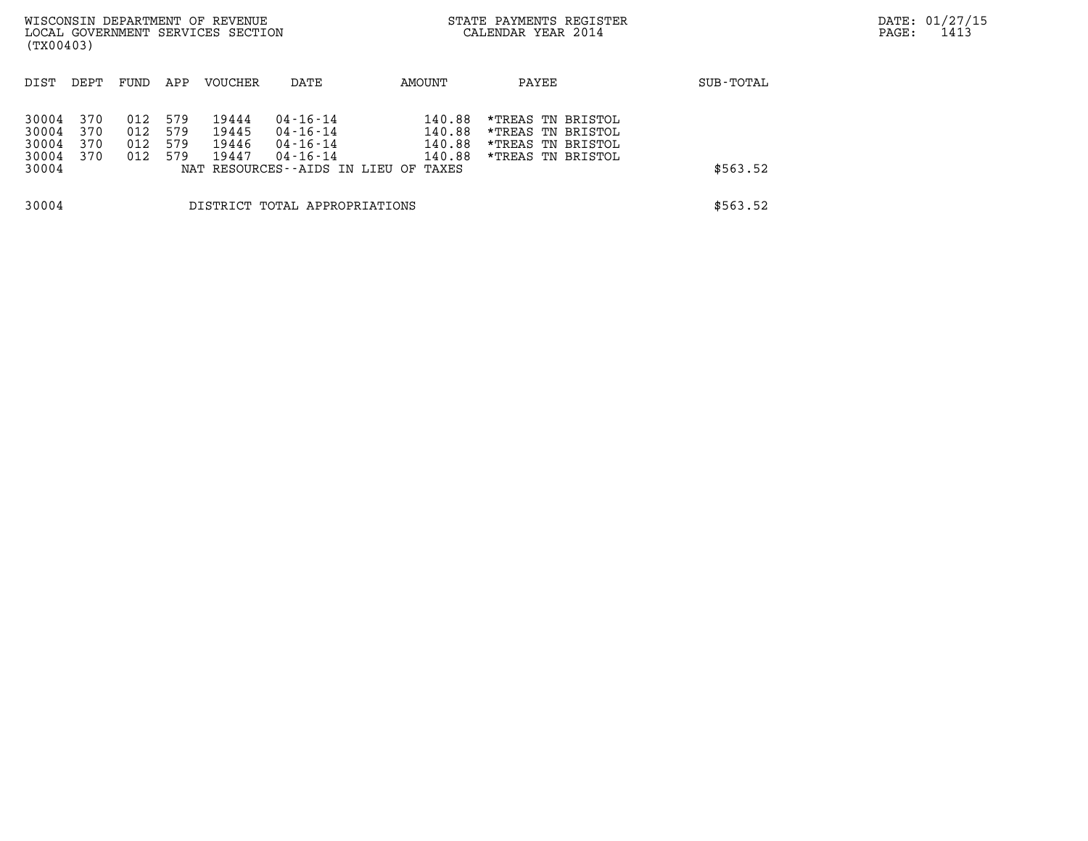| WISCONSIN DEPARTMENT OF REVENUE<br>LOCAL GOVERNMENT SERVICES SECTION<br>(TX00403) |                          |                          |                                 |                                  |                                                                                        |                                               | STATE PAYMENTS REGISTER<br>CALENDAR YEAR 2014                                    |           | DATE: 01/27/15<br>1413<br>PAGE: |
|-----------------------------------------------------------------------------------|--------------------------|--------------------------|---------------------------------|----------------------------------|----------------------------------------------------------------------------------------|-----------------------------------------------|----------------------------------------------------------------------------------|-----------|---------------------------------|
|                                                                                   |                          |                          |                                 |                                  |                                                                                        |                                               |                                                                                  |           |                                 |
| DIST                                                                              | DEPT                     | FUND                     | APP                             | VOUCHER                          | DATE                                                                                   | AMOUNT                                        | PAYEE                                                                            | SUB-TOTAL |                                 |
| 30004<br>30004<br>30004<br>30004<br>30004                                         | 370<br>370<br>370<br>370 | 012<br>012<br>012<br>012 | 579<br>579<br>579<br>579<br>NAT | 19444<br>19445<br>19446<br>19447 | $04 - 16 - 14$<br>04-16-14<br>04-16-14<br>$04 - 16 - 14$<br>RESOURCES--AIDS IN LIEU OF | 140.88<br>140.88<br>140.88<br>140.88<br>TAXES | *TREAS TN BRISTOL<br>*TREAS TN BRISTOL<br>*TREAS TN BRISTOL<br>*TREAS TN BRISTOL | \$563.52  |                                 |
| 30004                                                                             |                          |                          |                                 |                                  | DISTRICT TOTAL APPROPRIATIONS                                                          |                                               |                                                                                  | \$563.52  |                                 |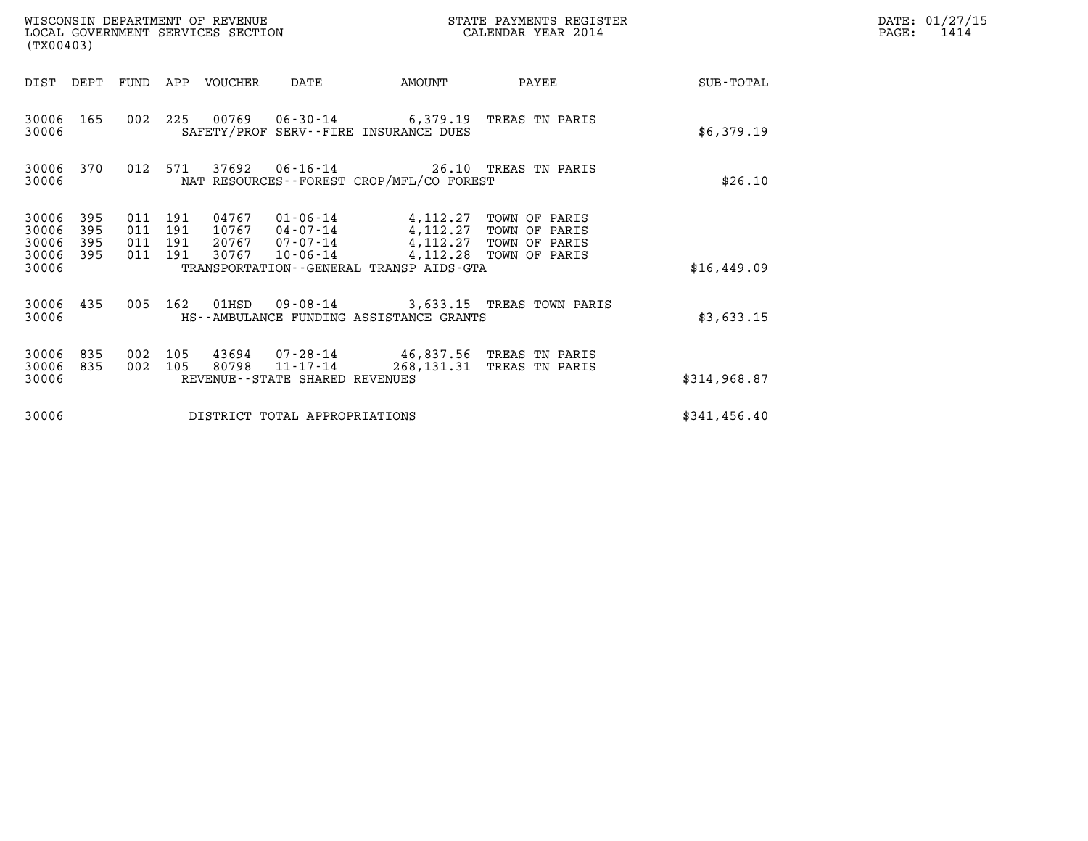| WISCONSIN DEPARTMENT OF REVENUE<br>LOCAL GOVERNMENT SERVICES SECTION<br>(TX00403)                                                |                                                                                                                                                                                                 | STATE PAYMENTS REGISTER<br>CALENDAR YEAR 2014 |               | DATE: 01/27/15<br>PAGE:<br>1414 |
|----------------------------------------------------------------------------------------------------------------------------------|-------------------------------------------------------------------------------------------------------------------------------------------------------------------------------------------------|-----------------------------------------------|---------------|---------------------------------|
| DIST DEPT<br>FUND APP VOUCHER                                                                                                    | AMOUNT<br>DATE                                                                                                                                                                                  | PAYEE                                         | SUB-TOTAL     |                                 |
| 30006 165<br>30006                                                                                                               | 002 225 00769 06-30-14 6,379.19 TREAS TN PARIS<br>SAFETY/PROF SERV--FIRE INSURANCE DUES                                                                                                         |                                               | \$6,379.19    |                                 |
| 30006 370<br>012<br>37692<br>571<br>30006                                                                                        | 06-16-14 26.10 TREAS TN PARIS<br>NAT RESOURCES - - FOREST CROP/MFL/CO FOREST                                                                                                                    |                                               | \$26.10       |                                 |
| 30006<br>395<br>011<br>191<br>011<br>395<br>191<br>30006<br>011 191<br>30006<br>395<br>395<br>011 191<br>30767<br>30006<br>30006 | 04767 01-06-14 4,112.27 TOWN OF PARIS<br>10767  04-07-14  4,112.27  TOWN OF PARIS<br>20767  07-07-14  4,112.27  TOWN OF PARIS<br>$10 - 06 - 14$<br>TRANSPORTATION - - GENERAL TRANSP AIDS - GTA | 4,112.28 TOWN OF PARIS                        | \$16,449.09   |                                 |
| 30006 435<br>005 162<br>01HSD<br>30006                                                                                           | 09-08-14 3,633.15 TREAS TOWN PARIS<br>HS--AMBULANCE FUNDING ASSISTANCE GRANTS                                                                                                                   |                                               | \$3,633.15    |                                 |
| 30006<br>835<br>002<br>105<br>002 105<br>30006<br>835<br>80798<br>30006                                                          | 43694 07-28-14 46,837.56 TREAS TN PARIS<br>$11 - 17 - 14$<br>REVENUE--STATE SHARED REVENUES                                                                                                     | 268,131.31 TREAS TN PARIS                     | \$314,968.87  |                                 |
| 30006                                                                                                                            | DISTRICT TOTAL APPROPRIATIONS                                                                                                                                                                   |                                               | \$341, 456.40 |                                 |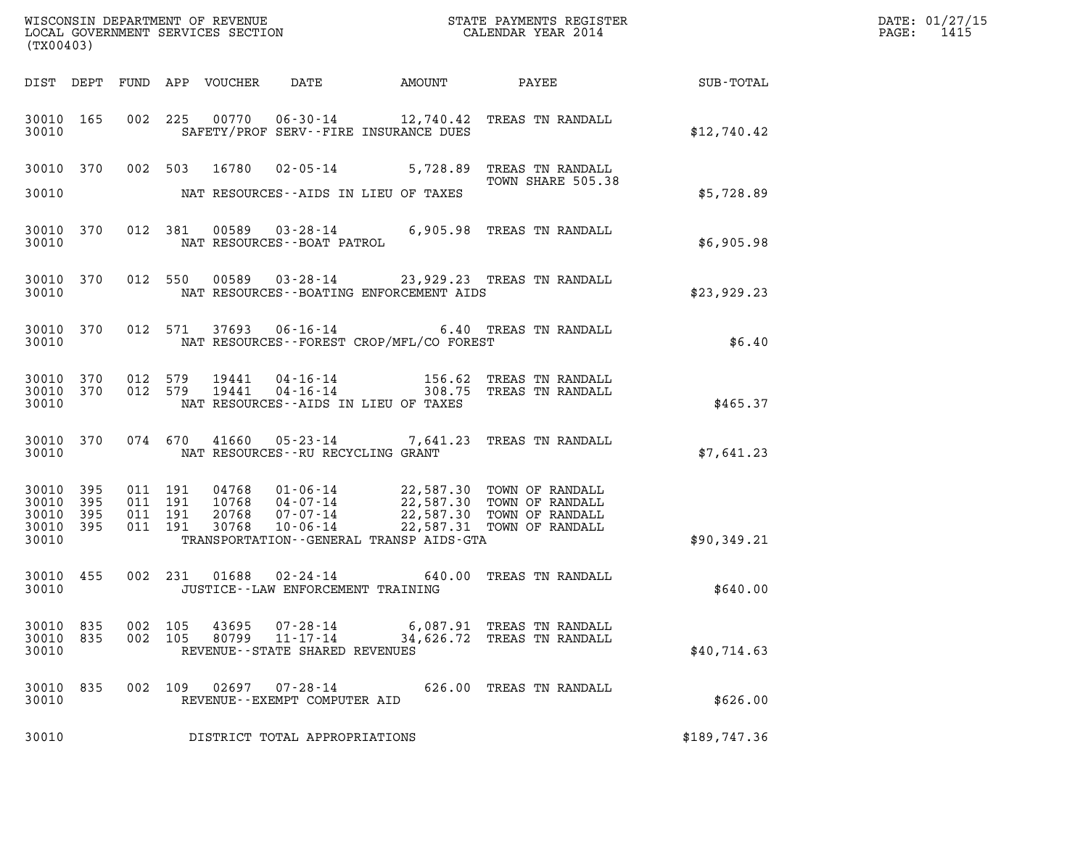| (TX00403)                                             |     |                    |                    |                |                                                           |                                                                                                                                                                                                                                                      |              | DATE: 01/27/15<br>PAGE: 1415 |
|-------------------------------------------------------|-----|--------------------|--------------------|----------------|-----------------------------------------------------------|------------------------------------------------------------------------------------------------------------------------------------------------------------------------------------------------------------------------------------------------------|--------------|------------------------------|
|                                                       |     |                    |                    |                |                                                           |                                                                                                                                                                                                                                                      |              |                              |
| 30010                                                 |     |                    |                    |                | SAFETY/PROF SERV--FIRE INSURANCE DUES                     | 30010 165 002 225 00770 06-30-14 12,740.42 TREAS TN RANDALL                                                                                                                                                                                          | \$12,740.42  |                              |
| 30010                                                 |     |                    |                    |                | NAT RESOURCES--AIDS IN LIEU OF TAXES                      | 30010 370 002 503 16780 02-05-14 5,728.89 TREAS TN RANDALL<br>TOWN SHARE 505.38<br>TOWN SHARE 505.38                                                                                                                                                 | \$5,728.89   |                              |
| 30010                                                 |     |                    |                    |                | NAT RESOURCES - - BOAT PATROL                             | 30010 370 012 381 00589 03-28-14 6,905.98 TREAS TN RANDALL                                                                                                                                                                                           | \$6,905.98   |                              |
| 30010                                                 |     |                    |                    |                | NAT RESOURCES--BOATING ENFORCEMENT AIDS                   | 30010 370 012 550 00589 03-28-14 23,929.23 TREAS TN RANDALL                                                                                                                                                                                          | \$23,929.23  |                              |
| 30010                                                 |     |                    |                    |                | NAT RESOURCES - - FOREST CROP/MFL/CO FOREST               | 30010 370 012 571 37693 06-16-14 6.40 TREAS TN RANDALL                                                                                                                                                                                               | \$6.40       |                              |
| 30010                                                 |     |                    |                    |                | NAT RESOURCES--AIDS IN LIEU OF TAXES                      | $\begin{array}{cccccc} 30010 & 370 & 012 & 579 & 19441 & 04\texttt{-}16\texttt{-}14 & & & & 156.62 & \texttt{TREAS TN RANDALL} \\ 30010 & 370 & 012 & 579 & 19441 & 04\texttt{-}16\texttt{-}14 & & & 308.75 & \texttt{TREAS TN RANDALL} \end{array}$ | \$465.37     |                              |
| 30010                                                 |     |                    |                    |                | NAT RESOURCES -- RU RECYCLING GRANT                       | 30010 370 074 670 41660 05-23-14 7,641.23 TREAS TN RANDALL                                                                                                                                                                                           | \$7,641.23   |                              |
| 30010 395<br>30010<br>30010 395<br>30010 395<br>30010 | 395 | 011 191<br>011 191 | 011 191<br>011 191 |                | TRANSPORTATION--GENERAL TRANSP AIDS-GTA                   |                                                                                                                                                                                                                                                      | \$90,349.21  |                              |
| 30010                                                 |     |                    |                    |                | JUSTICE - - LAW ENFORCEMENT TRAINING                      | 30010 455 002 231 01688 02-24-14 640.00 TREAS TN RANDALL                                                                                                                                                                                             | \$640.00     |                              |
| 30010 835<br>30010 835<br>30010                       |     | 002 105<br>002 105 |                    | 43695<br>80799 | 07-28-14<br>11-17-14<br>REVENUE - - STATE SHARED REVENUES | 6,087.91 TREAS TN RANDALL<br>34,626.72 TREAS TN RANDALL                                                                                                                                                                                              | \$40,714.63  |                              |
| 30010 835<br>30010                                    |     | 002 109            |                    | 02697          | $07 - 28 - 14$<br>REVENUE--EXEMPT COMPUTER AID            | 626.00 TREAS TN RANDALL                                                                                                                                                                                                                              | \$626.00     |                              |
| 30010                                                 |     |                    |                    |                | DISTRICT TOTAL APPROPRIATIONS                             |                                                                                                                                                                                                                                                      | \$189,747.36 |                              |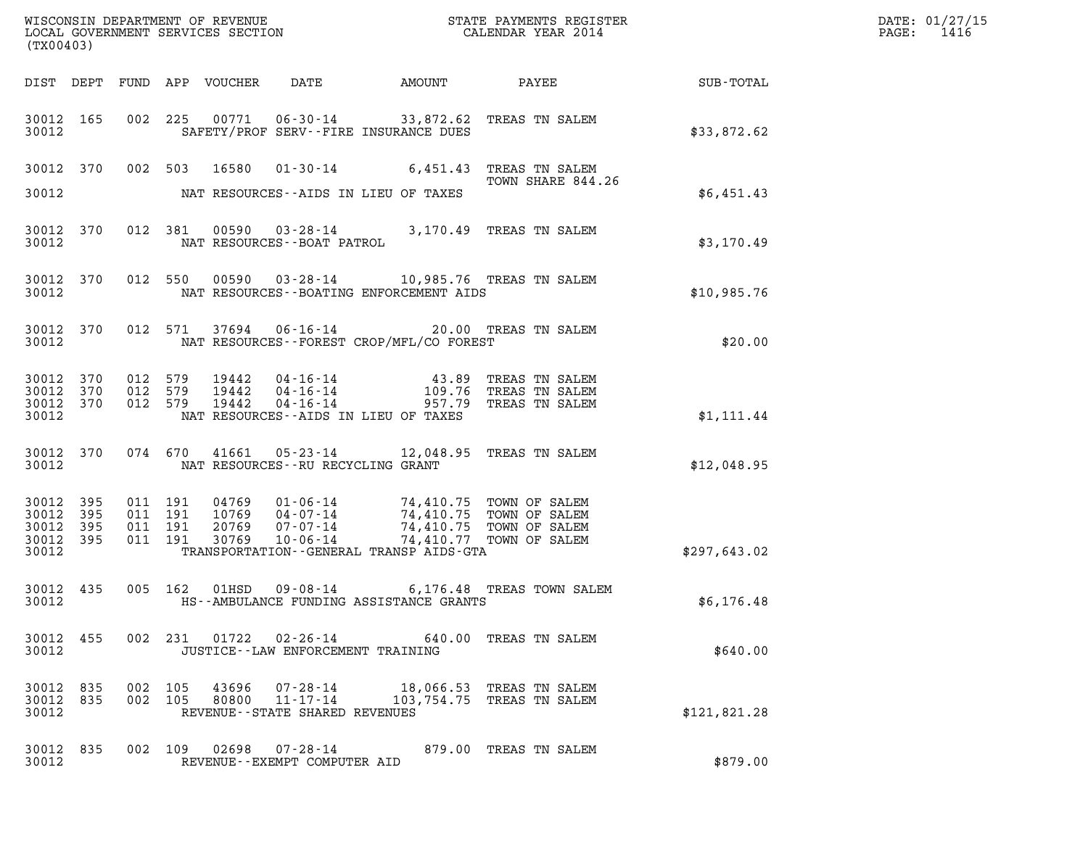| (TX00403)                                             |     |                                          |                                  |                                      |                                                                                                                                                                                         |                                                            |              | DATE: 01/27/15<br>$\mathtt{PAGE:}$<br>1416 |
|-------------------------------------------------------|-----|------------------------------------------|----------------------------------|--------------------------------------|-----------------------------------------------------------------------------------------------------------------------------------------------------------------------------------------|------------------------------------------------------------|--------------|--------------------------------------------|
|                                                       |     |                                          | DIST DEPT FUND APP VOUCHER DATE  |                                      |                                                                                                                                                                                         | AMOUNT PAYEE SUB-TOTAL                                     |              |                                            |
| 30012 165<br>30012                                    |     |                                          |                                  |                                      | 002 225 00771 06-30-14 33,872.62 TREAS TN SALEM<br>SAFETY/PROF SERV--FIRE INSURANCE DUES                                                                                                |                                                            | \$33,872.62  |                                            |
|                                                       |     |                                          |                                  |                                      | 30012 370 002 503 16580 01-30-14 6,451.43 TREAS TN SALEM                                                                                                                                | TOWN SHARE 844.26                                          |              |                                            |
| 30012                                                 |     |                                          |                                  |                                      | NAT RESOURCES--AIDS IN LIEU OF TAXES                                                                                                                                                    |                                                            | \$6,451.43   |                                            |
| 30012 370<br>30012                                    |     |                                          |                                  | NAT RESOURCES--BOAT PATROL           | 012 381 00590 03-28-14 3,170.49 TREAS TN SALEM                                                                                                                                          |                                                            | \$3,170.49   |                                            |
| 30012 370<br>30012                                    |     |                                          |                                  |                                      | 012 550 00590 03-28-14 10,985.76 TREAS TN SALEM<br>NAT RESOURCES--BOATING ENFORCEMENT AIDS                                                                                              |                                                            | \$10,985.76  |                                            |
| 30012 370<br>30012                                    |     |                                          |                                  |                                      | 012 571 37694 06-16-14 20.00 TREAS TN SALEM<br>NAT RESOURCES - - FOREST CROP/MFL/CO FOREST                                                                                              |                                                            | \$20.00      |                                            |
| 30012 370<br>30012 370<br>30012 370<br>30012          |     | 012 579<br>012 579<br>012 579            | 19442<br>19442<br>19442          |                                      | 04-16-14 43.89 TREAS TN SALEM<br>04-16-14 109.76 TREAS TN SALEM<br>04-16-14 957.79 TREAS TN SALEM<br>NAT RESOURCES--AIDS IN LIEU OF TAXES                                               |                                                            | \$1,111.44   |                                            |
| 30012 370<br>30012                                    |     |                                          |                                  | NAT RESOURCES - - RU RECYCLING GRANT | 074 670 41661 05-23-14 12,048.95 TREAS TN SALEM                                                                                                                                         |                                                            | \$12,048.95  |                                            |
| 30012 395<br>30012 395<br>30012<br>30012 395<br>30012 | 395 | 011 191<br>011 191<br>011 191<br>011 191 | 04769<br>10769<br>20769<br>30769 |                                      | 01-06-14 74,410.75 TOWN OF SALEM<br>04-07-14 74,410.75 TOWN OF SALEM<br>07-07-14 74,410.75 TOWN OF SALEM<br>10-06-14 74,410.77 TOWN OF SALEM<br>TRANSPORTATION--GENERAL TRANSP AIDS-GTA |                                                            | \$297,643.02 |                                            |
| 30012                                                 |     |                                          |                                  |                                      | HS--AMBULANCE FUNDING ASSISTANCE GRANTS                                                                                                                                                 | 30012 435 005 162 01HSD 09-08-14 6,176.48 TREAS TOWN SALEM | \$6,176.48   |                                            |
| 30012                                                 |     |                                          |                                  | JUSTICE - - LAW ENFORCEMENT TRAINING | 30012 455 002 231 01722 02-26-14 640.00 TREAS TN SALEM                                                                                                                                  |                                                            | \$640.00     |                                            |
| 30012 835<br>30012                                    |     | 30012 835 002 105                        |                                  | REVENUE - - STATE SHARED REVENUES    | 43696  07-28-14  18,066.53  TREAS TN SALEM<br>002 105 80800 11-17-14 103,754.75 TREAS TN SALEM                                                                                          |                                                            | \$121,821.28 |                                            |
| 30012 835<br>30012                                    |     |                                          |                                  | REVENUE--EXEMPT COMPUTER AID         | 002 109 02698 07-28-14 879.00 TREAS TN SALEM                                                                                                                                            |                                                            | \$879.00     |                                            |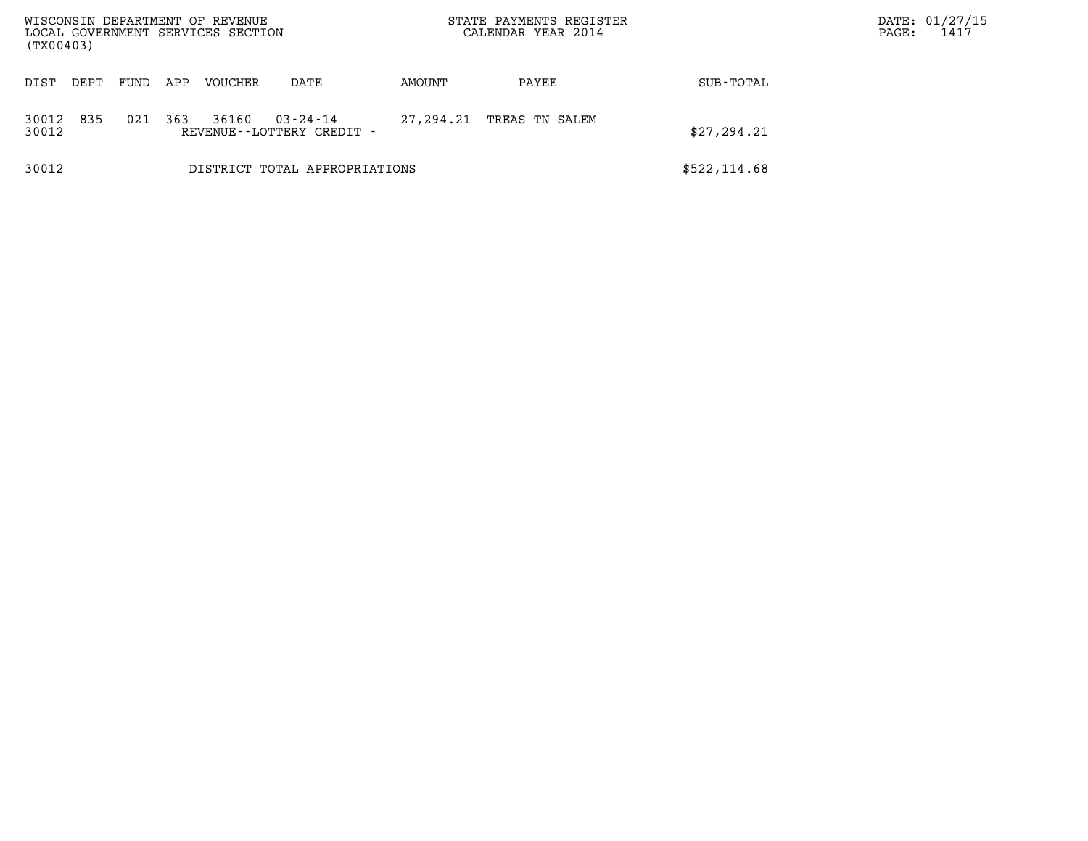| (TX00403)      |      |      |     | WISCONSIN DEPARTMENT OF REVENUE<br>LOCAL GOVERNMENT SERVICES SECTION |                                       |           | STATE PAYMENTS REGISTER<br>CALENDAR YEAR 2014 |              | DATE: 01/27/15<br>PAGE: | 1417 |
|----------------|------|------|-----|----------------------------------------------------------------------|---------------------------------------|-----------|-----------------------------------------------|--------------|-------------------------|------|
| DIST           | DEPT | FUND | APP | <b>VOUCHER</b>                                                       | DATE                                  | AMOUNT    | PAYEE                                         | SUB-TOTAL    |                         |      |
| 30012<br>30012 | 835  | 021  | 363 | 36160                                                                | 03-24-14<br>REVENUE--LOTTERY CREDIT - | 27,294.21 | TREAS TN SALEM                                | \$27, 294.21 |                         |      |
| 30012          |      |      |     |                                                                      | DISTRICT TOTAL APPROPRIATIONS         |           |                                               | \$522,114.68 |                         |      |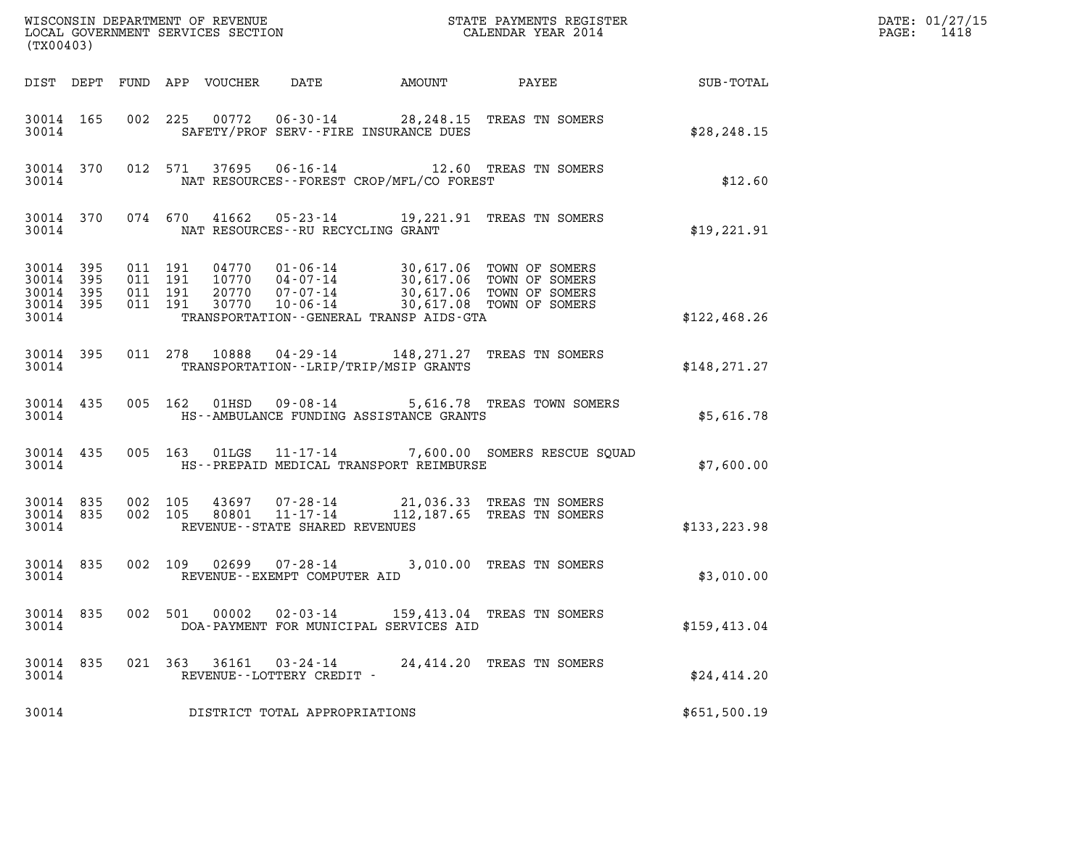| (TX00403)                                                 |     |         |                                          |                            |                                                          |        |                                                                                                                                                                                      |               | DATE: 01/27/15<br>$\mathtt{PAGE}$ :<br>1418 |
|-----------------------------------------------------------|-----|---------|------------------------------------------|----------------------------|----------------------------------------------------------|--------|--------------------------------------------------------------------------------------------------------------------------------------------------------------------------------------|---------------|---------------------------------------------|
|                                                           |     |         |                                          | DIST DEPT FUND APP VOUCHER | DATE                                                     | AMOUNT | <b>PAYEE</b> FOUND THE PAYEE                                                                                                                                                         | SUB-TOTAL     |                                             |
| 30014 165<br>30014                                        |     |         |                                          |                            | SAFETY/PROF SERV--FIRE INSURANCE DUES                    |        | 002 225 00772 06-30-14 28,248.15 TREAS TN SOMERS                                                                                                                                     | \$28, 248.15  |                                             |
| 30014 370<br>30014                                        |     |         |                                          |                            | NAT RESOURCES--FOREST CROP/MFL/CO FOREST                 |        | 012 571 37695 06-16-14 12.60 TREAS TN SOMERS                                                                                                                                         | \$12.60       |                                             |
| 30014 370<br>30014                                        |     |         | 074 670                                  |                            | NAT RESOURCES--RU RECYCLING GRANT                        |        | 41662  05-23-14  19,221.91  TREAS TN SOMERS                                                                                                                                          | \$19,221.91   |                                             |
| 30014 395<br>30014 395<br>30014 395<br>30014 395<br>30014 |     |         | 011 191<br>011 191<br>011 191<br>011 191 |                            | TRANSPORTATION--GENERAL TRANSP AIDS-GTA                  |        | 04770  01-06-14  30,617.06  TOWN OF SOMERS<br>10770  04-07-14  30,617.06  TOWN OF SOMERS<br>20770  07-07-14  30,617.06  TOWN OF SOMERS<br>30770  10-06-14  30,617.08  TOWN OF SOMERS | \$122,468.26  |                                             |
| 30014 395<br>30014                                        |     |         |                                          | 011 278 10888              | TRANSPORTATION--LRIP/TRIP/MSIP GRANTS                    |        | 04-29-14 148,271.27 TREAS TN SOMERS                                                                                                                                                  | \$148, 271.27 |                                             |
| 30014 435<br>30014                                        |     |         |                                          |                            | HS--AMBULANCE FUNDING ASSISTANCE GRANTS                  |        | 005 162 01HSD 09-08-14 5,616.78 TREAS TOWN SOMERS                                                                                                                                    | \$5,616.78    |                                             |
| 30014 435<br>30014                                        |     |         |                                          | 005 163 01LGS              | HS--PREPAID MEDICAL TRANSPORT REIMBURSE                  |        | 11-17-14 7,600.00 SOMERS RESCUE SQUAD                                                                                                                                                | \$7,600.00    |                                             |
| 30014 835<br>30014 835<br>30014                           |     | 002 105 | 002 105                                  | 43697<br>80801             | $11 - 17 - 14$<br>REVENUE - - STATE SHARED REVENUES      |        | 07-28-14 21,036.33 TREAS TN SOMERS<br>112,187.65 TREAS TN SOMERS                                                                                                                     | \$133, 223.98 |                                             |
| 30014 835<br>30014                                        |     |         | 002 109                                  |                            | REVENUE - - EXEMPT COMPUTER AID                          |        | 02699  07-28-14  3,010.00 TREAS TN SOMERS                                                                                                                                            | \$3,010.00    |                                             |
| 30014 835<br>30014                                        |     |         | 002 501                                  | 00002                      | $02 - 03 - 14$<br>DOA-PAYMENT FOR MUNICIPAL SERVICES AID |        | 159,413.04 TREAS TN SOMERS                                                                                                                                                           | \$159,413.04  |                                             |
| 30014<br>30014                                            | 835 |         | 021 363                                  | 36161                      | $03 - 24 - 14$<br>REVENUE--LOTTERY CREDIT -              |        | 24,414.20 TREAS TN SOMERS                                                                                                                                                            | \$24,414.20   |                                             |
| 30014                                                     |     |         |                                          |                            | DISTRICT TOTAL APPROPRIATIONS                            |        |                                                                                                                                                                                      | \$651,500.19  |                                             |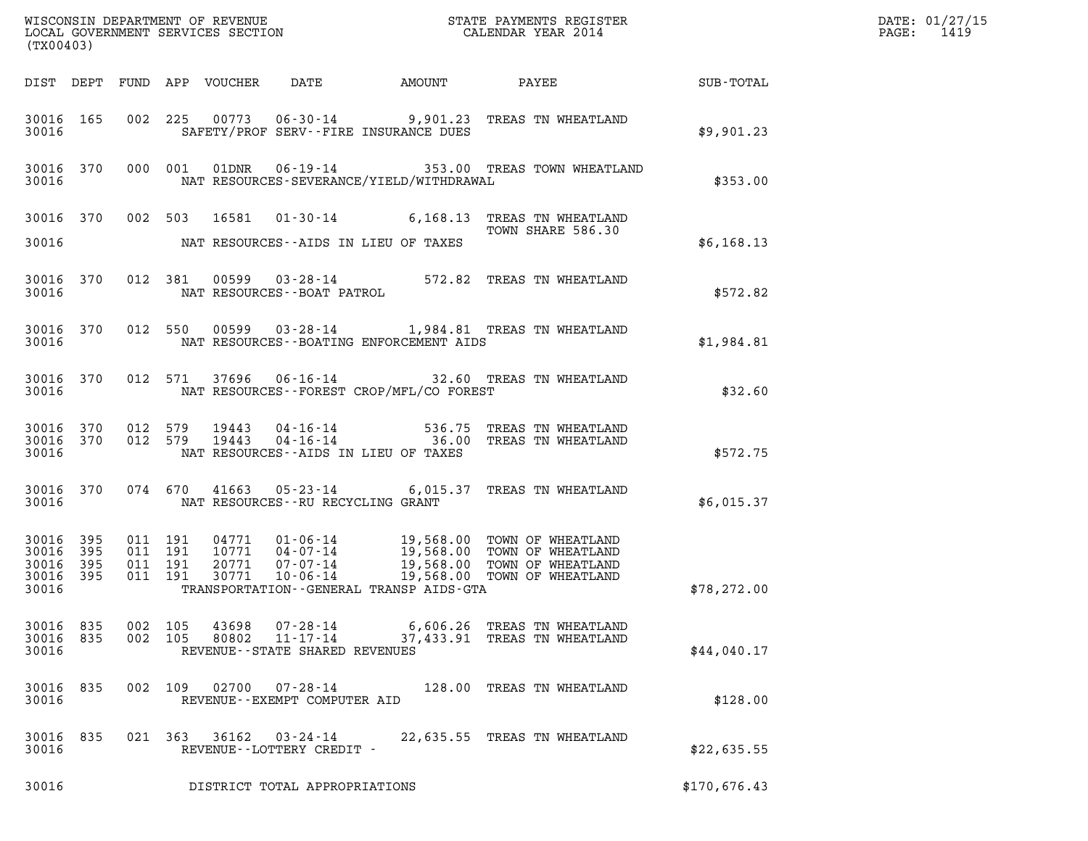| (TX00403)                                             |                        |     |                                          |                                                                 |  |                                                                                                                                                                                      | DATE: 01/27/15<br>$\mathtt{PAGE:}$<br>1419 |  |
|-------------------------------------------------------|------------------------|-----|------------------------------------------|-----------------------------------------------------------------|--|--------------------------------------------------------------------------------------------------------------------------------------------------------------------------------------|--------------------------------------------|--|
|                                                       |                        |     |                                          |                                                                 |  | DIST DEPT FUND APP VOUCHER DATE AMOUNT PAYEE SUB-TOTAL                                                                                                                               |                                            |  |
| 30016                                                 | 30016 165              |     |                                          | SAFETY/PROF SERV--FIRE INSURANCE DUES                           |  | 002 225 00773 06-30-14 9,901.23 TREAS TN WHEATLAND                                                                                                                                   | \$9,901.23                                 |  |
| 30016                                                 |                        |     |                                          | NAT RESOURCES-SEVERANCE/YIELD/WITHDRAWAL                        |  | 30016 370 000 001 01DNR 06-19-14 353.00 TREAS TOWN WHEATLAND                                                                                                                         | \$353.00                                   |  |
|                                                       |                        |     |                                          |                                                                 |  | 30016 370 002 503 16581 01-30-14 6,168.13 TREAS TN WHEATLAND<br>TOWN SHARE 586.30                                                                                                    |                                            |  |
| 30016                                                 |                        |     |                                          | NAT RESOURCES--AIDS IN LIEU OF TAXES                            |  |                                                                                                                                                                                      | \$6,168.13                                 |  |
| 30016                                                 |                        |     |                                          | NAT RESOURCES - - BOAT PATROL                                   |  | 30016 370 012 381 00599 03-28-14 572.82 TREAS TN WHEATLAND                                                                                                                           | \$572.82                                   |  |
| 30016                                                 |                        |     |                                          | NAT RESOURCES - - BOATING ENFORCEMENT AIDS                      |  | 30016 370 012 550 00599 03-28-14 1,984.81 TREAS TN WHEATLAND                                                                                                                         | \$1,984.81                                 |  |
| 30016                                                 |                        |     |                                          | NAT RESOURCES -- FOREST CROP/MFL/CO FOREST                      |  | 30016 370 012 571 37696 06-16-14 32.60 TREAS TN WHEATLAND                                                                                                                            | \$32.60                                    |  |
| 30016                                                 | 30016 370<br>30016 370 |     |                                          | NAT RESOURCES -- AIDS IN LIEU OF TAXES                          |  | 012 579 19443 04-16-14 536.75 TREAS TN WHEATLAND<br>012 579 19443 04-16-14 36.00 TREAS TN WHEATLAND                                                                                  | \$572.75                                   |  |
| 30016                                                 |                        |     |                                          | NAT RESOURCES--RU RECYCLING GRANT                               |  | 30016 370 074 670 41663 05-23-14 6,015.37 TREAS TN WHEATLAND                                                                                                                         | \$6,015.37                                 |  |
| 30016 395<br>30016<br>30016 395<br>30016 395<br>30016 | 395                    |     | 011 191<br>011 191<br>011 191<br>011 191 | TRANSPORTATION - - GENERAL TRANSP AIDS - GTA                    |  | 04771 01-06-14 19,568.00 TOWN OF WHEATLAND<br>10771 04-07-14 19,568.00 TOWN OF WHEATLAND<br>20771 07-07-14 19,568.00 TOWN OF WHEATLAND<br>30771 10-06-14 19,568.00 TOWN OF WHEATLAND | \$78, 272.00                               |  |
| 30016<br>30016 835<br>30016                           | 835                    |     | 002 105<br>43698<br>002 105<br>80802     | 07-28-14<br>$11 - 17 - 14$<br>REVENUE - - STATE SHARED REVENUES |  | 6,606.26 TREAS TN WHEATLAND<br>37,433.91 TREAS TN WHEATLAND                                                                                                                          | \$44,040.17                                |  |
| 30016<br>30016                                        | 835                    | 002 | 109<br>02700                             | $07 - 28 - 14$<br>REVENUE--EXEMPT COMPUTER AID                  |  | 128.00 TREAS TN WHEATLAND                                                                                                                                                            | \$128.00                                   |  |
| 30016<br>30016                                        | 835                    |     | 021 363<br>36162                         | 03-24-14<br>REVENUE--LOTTERY CREDIT -                           |  | 22,635.55 TREAS TN WHEATLAND                                                                                                                                                         | \$22,635.55                                |  |
| 30016                                                 |                        |     |                                          | DISTRICT TOTAL APPROPRIATIONS                                   |  |                                                                                                                                                                                      | \$170,676.43                               |  |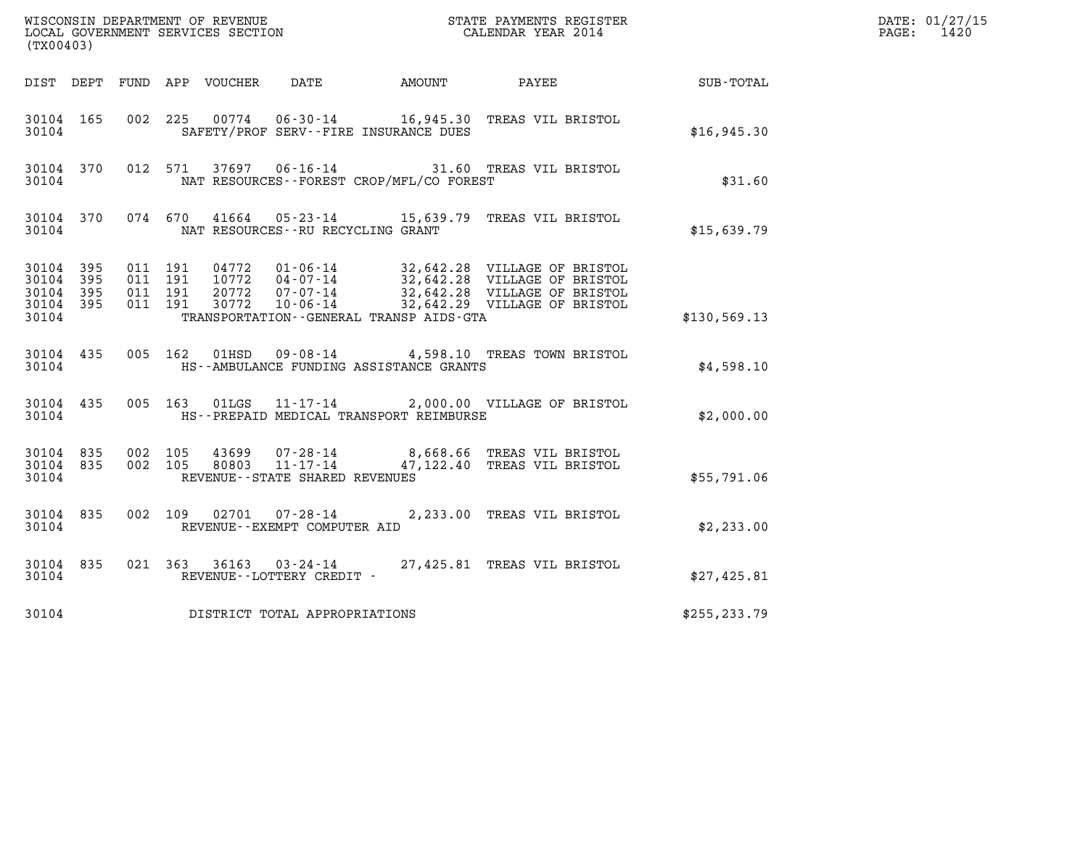| WISCONSIN DEPARTMENT OF REVENUE                               STATE PAYMENTS REGISTER LOCAL GOVERNMENT SERVICES SECTION                                   CALENDAR YEAR 2014<br>(TX00403) |           |                                          |  |                |                                                           |                                                                                                                                                                                    |               | DATE: 01/27/15<br>$\mathtt{PAGE:}$<br>1420 |
|-------------------------------------------------------------------------------------------------------------------------------------------------------------------------------------------|-----------|------------------------------------------|--|----------------|-----------------------------------------------------------|------------------------------------------------------------------------------------------------------------------------------------------------------------------------------------|---------------|--------------------------------------------|
|                                                                                                                                                                                           |           |                                          |  |                |                                                           | DIST DEPT FUND APP VOUCHER DATE AMOUNT PAYEE SUB-TOTAL                                                                                                                             |               |                                            |
| 30104 165<br>30104                                                                                                                                                                        |           |                                          |  |                | SAFETY/PROF SERV--FIRE INSURANCE DUES                     | 002 225 00774 06-30-14 16,945.30 TREAS VIL BRISTOL                                                                                                                                 | \$16,945.30   |                                            |
| 30104                                                                                                                                                                                     | 30104 370 |                                          |  |                | NAT RESOURCES--FOREST CROP/MFL/CO FOREST                  | 012 571 37697 06-16-14 31.60 TREAS VIL BRISTOL                                                                                                                                     | \$31.60       |                                            |
| 30104 370<br>30104                                                                                                                                                                        |           |                                          |  |                | NAT RESOURCES - - RU RECYCLING GRANT                      | 074 670 41664 05-23-14 15,639.79 TREAS VIL BRISTOL                                                                                                                                 | \$15,639.79   |                                            |
| 30104 395<br>30104 395<br>30104<br>30104 395<br>30104                                                                                                                                     | 395       | 011 191<br>011 191<br>011 191<br>011 191 |  | 30772          | $10 - 06 - 14$<br>TRANSPORTATION--GENERAL TRANSP AIDS-GTA | 04772  01-06-14  32,642.28  VILLAGE OF BRISTOL<br>10772  04-07-14  32,642.28  VILLAGE OF BRISTOL<br>20772  07-07-14  32,642.28  VILLAGE OF BRISTOL<br>32,642.29 VILLAGE OF BRISTOL | \$130,569.13  |                                            |
| 30104 435<br>30104                                                                                                                                                                        |           |                                          |  | 005 162 01HSD  | HS--AMBULANCE FUNDING ASSISTANCE GRANTS                   | 09-08-14 4,598.10 TREAS TOWN BRISTOL                                                                                                                                               | \$4,598.10    |                                            |
| 30104                                                                                                                                                                                     | 30104 435 |                                          |  |                | HS--PREPAID MEDICAL TRANSPORT REIMBURSE                   | 005 163 01LGS 11-17-14 2,000.00 VILLAGE OF BRISTOL                                                                                                                                 | \$2,000.00    |                                            |
| 30104 835<br>30104 835<br>30104                                                                                                                                                           |           | 002 105<br>002 105                       |  | 43699<br>80803 | $11 - 17 - 14$<br>REVENUE - - STATE SHARED REVENUES       | 07-28-14 8,668.66 TREAS VIL BRISTOL<br>47,122.40 TREAS VIL BRISTOL                                                                                                                 | \$55,791.06   |                                            |
| 30104 835<br>30104                                                                                                                                                                        |           |                                          |  |                | 002 109 02701 07-28-14<br>REVENUE--EXEMPT COMPUTER AID    | 2,233.00 TREAS VIL BRISTOL                                                                                                                                                         | \$2,233.00    |                                            |
| 30104 835<br>30104                                                                                                                                                                        |           |                                          |  |                | REVENUE--LOTTERY CREDIT -                                 | 021 363 36163 03-24-14 27,425.81 TREAS VIL BRISTOL                                                                                                                                 | \$27,425.81   |                                            |
| 30104                                                                                                                                                                                     |           |                                          |  |                | DISTRICT TOTAL APPROPRIATIONS                             |                                                                                                                                                                                    | \$255, 233.79 |                                            |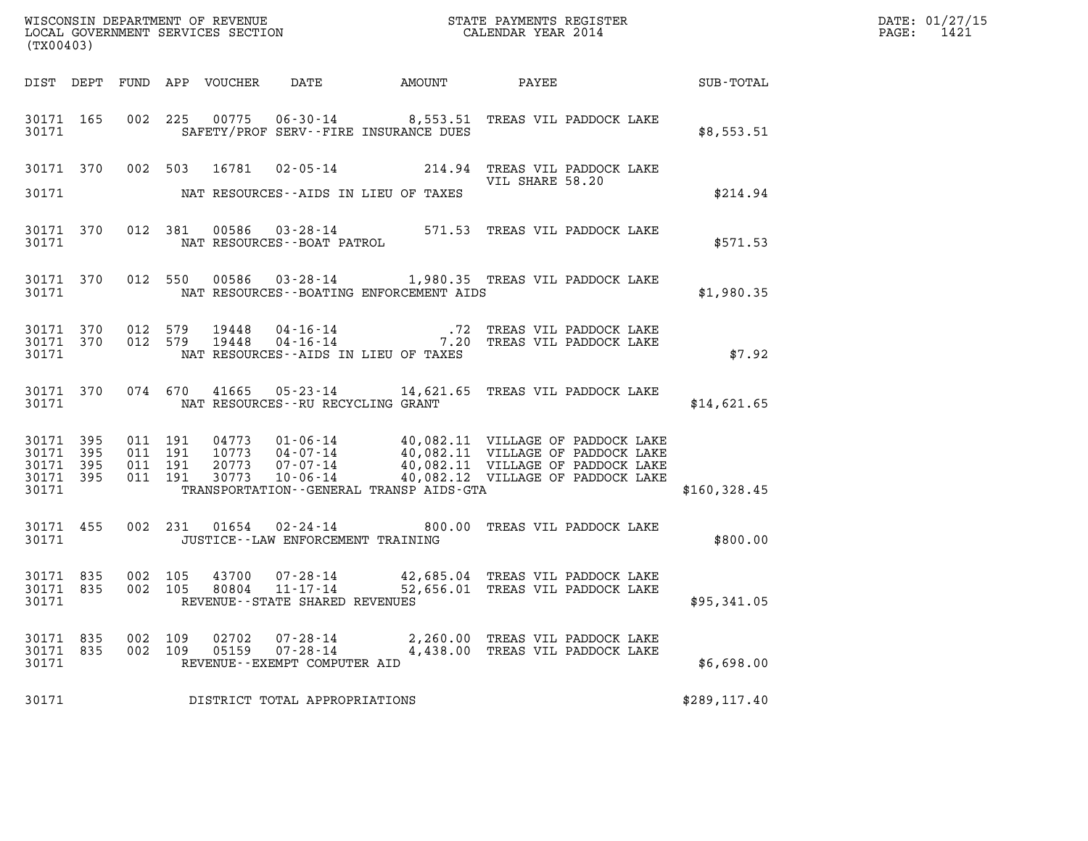|                                 | (TX00403)                     |                    |         |       |                                                             |  |                                                                                                                                                                                                                                                                                                                                                                  |               | DATE: 01/27/15<br>PAGE: 1421 |
|---------------------------------|-------------------------------|--------------------|---------|-------|-------------------------------------------------------------|--|------------------------------------------------------------------------------------------------------------------------------------------------------------------------------------------------------------------------------------------------------------------------------------------------------------------------------------------------------------------|---------------|------------------------------|
|                                 |                               |                    |         |       |                                                             |  | DIST DEPT FUND APP VOUCHER DATE AMOUNT PAYEE SUB-TOTAL                                                                                                                                                                                                                                                                                                           |               |                              |
| 30171                           |                               |                    |         |       | SAFETY/PROF SERV--FIRE INSURANCE DUES                       |  | 30171 165 002 225 00775 06-30-14 8,553.51 TREAS VIL PADDOCK LAKE                                                                                                                                                                                                                                                                                                 | \$8,553.51    |                              |
|                                 |                               |                    |         |       | 30171 NAT RESOURCES--AIDS IN LIEU OF TAXES                  |  | 30171 370 002 503 16781 02-05-14 214.94 TREAS VIL PADDOCK LAKE<br>VIL SHARE 58.20                                                                                                                                                                                                                                                                                | \$214.94      |                              |
|                                 |                               |                    |         |       | 30171 NAT RESOURCES--BOAT PATROL                            |  | 30171 370 012 381 00586 03-28-14 571.53 TREAS VIL PADDOCK LAKE                                                                                                                                                                                                                                                                                                   | \$571.53      |                              |
|                                 |                               |                    |         |       |                                                             |  | 30171 370 012 550 00586 03-28-14 1,980.35 TREAS VIL PADDOCK LAKE<br>30171 NAT RESOURCES--BOATING ENFORCEMENT AIDS                                                                                                                                                                                                                                                | \$1,980.35    |                              |
|                                 |                               |                    |         |       | 30171 NAT RESOURCES--AIDS IN LIEU OF TAXES                  |  |                                                                                                                                                                                                                                                                                                                                                                  | \$7.92        |                              |
|                                 |                               |                    |         |       | 30171 NAT RESOURCES--RU RECYCLING GRANT                     |  | 30171 370 074 670 41665 05-23-14 14,621.65 TREAS VIL PADDOCK LAKE                                                                                                                                                                                                                                                                                                | \$14,621.65   |                              |
| 30171                           |                               |                    |         |       |                                                             |  | $\begin{tabular}{cccc} 30171 & 395 & 011 & 191 & 04773 & 01-06-14 & 40,082.11 & VILLAGE OF PADOCK LAKE \\ 30171 & 395 & 011 & 191 & 10773 & 04-07-14 & 40,082.11 & VILLAGE OF PADOCK LAKE \\ 30171 & 395 & 011 & 191 & 20773 & 07-07-14 & 40,082.11 & VILLAGE OF PADOCK LAKE \\ 30171 & 395 & 011 & 191 & 30773 & 10$<br>TRANSPORTATION--GENERAL TRANSP AIDS-GTA | \$160, 328.45 |                              |
|                                 |                               |                    |         |       | 30171 JUSTICE - - LAW ENFORCEMENT TRAINING                  |  | 30171 455 002 231 01654 02-24-14 800.00 TREAS VIL PADDOCK LAKE                                                                                                                                                                                                                                                                                                   | \$800.00      |                              |
| 30171 835<br>30171 835<br>30171 |                               |                    | 002 105 |       | 002 105 80804 11-17-14<br>REVENUE - - STATE SHARED REVENUES |  | 43700  07-28-14  42,685.04 TREAS VIL PADDOCK LAKE<br>52,656.01 TREAS VIL PADDOCK LAKE                                                                                                                                                                                                                                                                            | \$95,341.05   |                              |
| 30171 835<br>30171 835<br>30171 |                               | 002 109<br>002 109 |         | 02702 | $07 - 28 - 14$<br>REVENUE--EXEMPT COMPUTER AID              |  | 2,260.00 TREAS VIL PADDOCK LAKE<br>4,438.00 TREAS VIL PADDOCK LAKE                                                                                                                                                                                                                                                                                               | \$6,698.00    |                              |
| 30171                           | DISTRICT TOTAL APPROPRIATIONS |                    |         |       |                                                             |  | \$289,117.40                                                                                                                                                                                                                                                                                                                                                     |               |                              |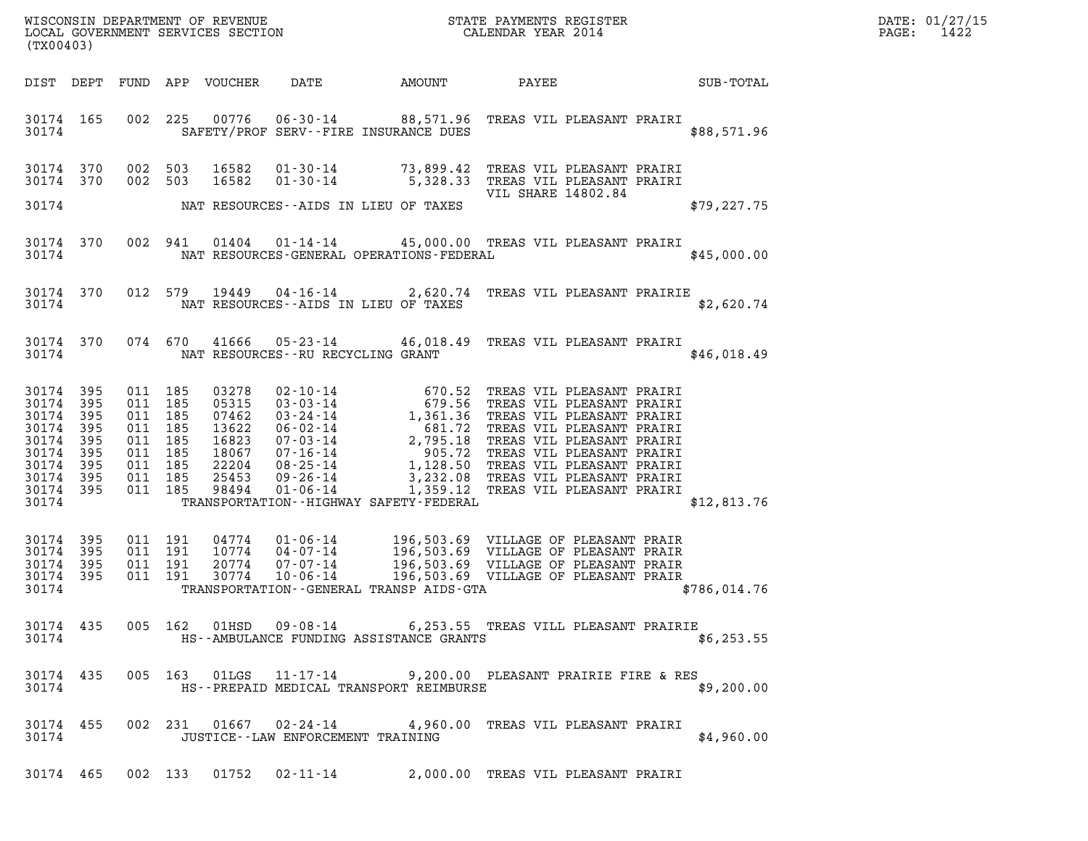| DATE: | 01/27/15 |
|-------|----------|
| PAGE: | 1422     |

| WISCONSIN DEPARTMENT OF REVENUE<br>LOCAL GOVERNMENT SERVICES SECTION<br>CALENDAR YEAR 2014<br>(TX00403)                                                                                                                                                                      |                                                                                                                                                                                                                                                                     | DATE: 01/27/15<br>$\mathtt{PAGE:}$<br>1422 |
|------------------------------------------------------------------------------------------------------------------------------------------------------------------------------------------------------------------------------------------------------------------------------|---------------------------------------------------------------------------------------------------------------------------------------------------------------------------------------------------------------------------------------------------------------------|--------------------------------------------|
|                                                                                                                                                                                                                                                                              | DIST DEPT FUND APP VOUCHER DATE AMOUNT PAYEE SUB-TOTAL                                                                                                                                                                                                              |                                            |
| 30174 165<br>30174                                                                                                                                                                                                                                                           | 002 225 00776 06-30-14 88,571.96 TREAS VIL PLEASANT PRAIRI<br>SAFETY/PROF SERV--FIRE INSURANCE DUES                                                                                                                                                                 | \$88,571.96                                |
| 30174 370<br>30174 370<br>30174 NAT RESOURCES--AIDS IN LIEU OF TAXES                                                                                                                                                                                                         | 002 503 16582 01-30-14 73,899.42 TREAS VIL PLEASANT PRAIRI<br>002 503 16582 01-30-14 5,328.33 TREAS VIL PLEASANT PRAIRI<br>VIL SHARE 14802.84                                                                                                                       | \$79,227.75                                |
| 30174 370 002 941 01404 01-14-14 45,000.00 TREAS VIL PLEASANT PRAIRI<br>30174 NAT RESOURCES-GENERAL OPERATIONS-FEDERAL                                                                                                                                                       |                                                                                                                                                                                                                                                                     | \$45,000.00                                |
| 30174 370 012 579 19449 04-16-14 2,620.74 TREAS VIL PLEASANT PRAIRIE<br>30174 NAT RESOURCES--AIDS IN LIEU OF TAXES                                                                                                                                                           |                                                                                                                                                                                                                                                                     | \$2,620.74                                 |
| 30174 370 074 670 41666 05-23-14 46,018.49 TREAS VIL PLEASANT PRAIRI<br>30174 NAT RESOURCES--RU RECYCLING GRANT                                                                                                                                                              |                                                                                                                                                                                                                                                                     | \$46,018.49                                |
| 30174 395<br>011 185<br>30174 395<br>011 185<br>30174 395<br>011 185<br>30174 395<br>011 185<br>30174 395<br>011 185<br>30174 395<br>011 185<br>30174 395<br>011 185<br>30174 395<br>011 185<br>011 185<br>30174 395<br>30174<br>TRANSPORTATION - - HIGHWAY SAFETY - FEDERAL | 03278 02-10-14 670.52 TREAS VIL PLEASANT PRAIRI<br>05315 03-03-14 679.56 TREAS VIL PLEASANT PRAIRI<br>07462 03-24-14 1,361.36 TREAS VIL PLEASANT PRAIRI<br>16823 07-03-14 2,795.18 TREAS VIL PLEASANT PRAIRI<br>18067 07-16-14 905.72                               | \$12,813.76                                |
| 30174 395<br>011 191<br>30174 395<br>011 191<br>30174 395<br>011 191<br>30174 395<br>011 191<br>30174                                                                                                                                                                        | 04774 01-06-14 196,503.69 VILLAGE OF PLEASANT PRAIR<br>10774 04-07-14 196,503.69 VILLAGE OF PLEASANT PRAIR<br>20774 07-07-14 196,503.69 VILLAGE OF PLEASANT PRAIR<br>30774 10-06-14 196,503.69 VILLAGE OF PLEASANT PRAIR<br>TRANSPORTATION--GENERAL TRANSP AIDS-GTA | \$786,014.76                               |
| 30174<br>HS--AMBULANCE FUNDING ASSISTANCE GRANTS                                                                                                                                                                                                                             | 30174 435 005 162 01HSD 09-08-14 6,253.55 TREAS VILL PLEASANT PRAIRIE                                                                                                                                                                                               | \$6,253.55                                 |
| 30174 435<br>30174<br>HS--PREPAID MEDICAL TRANSPORT REIMBURSE                                                                                                                                                                                                                | 005 163 01LGS 11-17-14 9,200.00 PLEASANT PRAIRIE FIRE & RES                                                                                                                                                                                                         | \$9,200.00                                 |
| 30174 455<br>30174<br>JUSTICE -- LAW ENFORCEMENT TRAINING                                                                                                                                                                                                                    | 002 231 01667 02-24-14 4,960.00 TREAS VIL PLEASANT PRAIRI                                                                                                                                                                                                           | \$4,960.00                                 |
| 30174 465 002 133 01752 02-11-14 2,000.00 TREAS VIL PLEASANT PRAIRI                                                                                                                                                                                                          |                                                                                                                                                                                                                                                                     |                                            |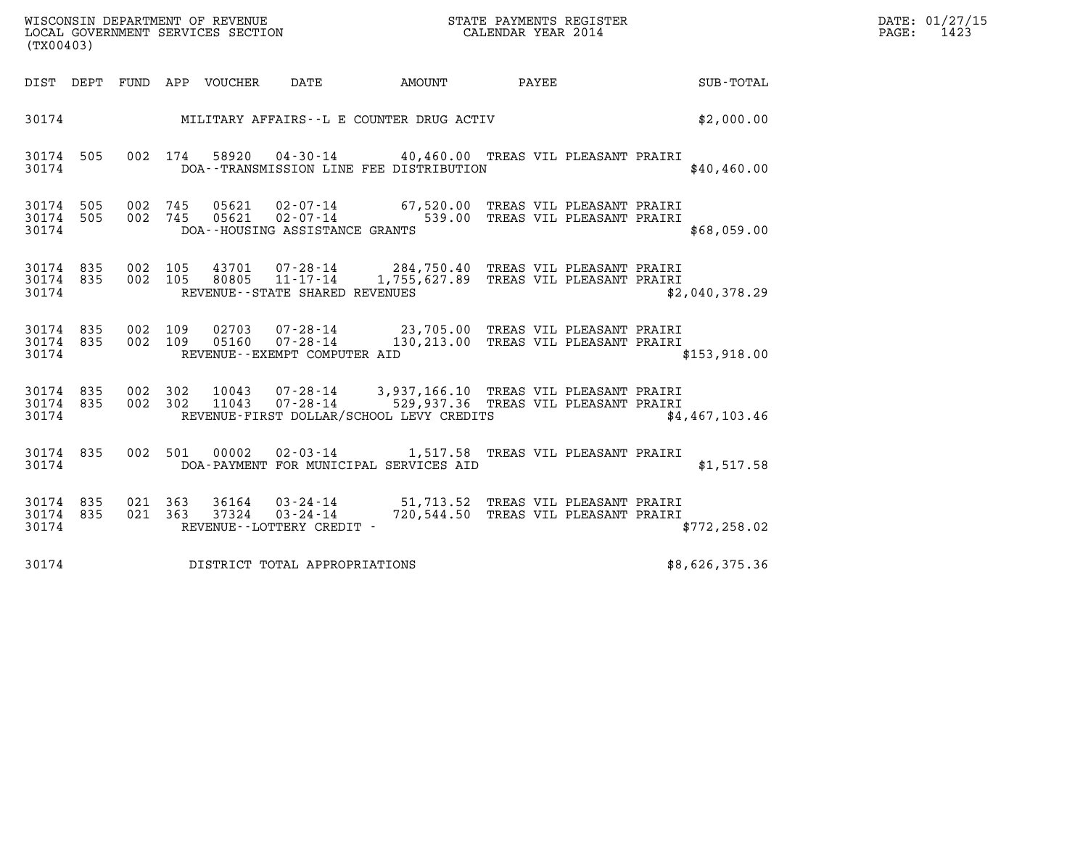| (TX00403)                       | WISCONSIN DEPARTMENT OF REVENUE<br>LOCAL GOVERNMENT SERVICES SECTION<br>(TWOO403) UNITAL SERVICES SECTION                                                                                                                                                                                 |                        |                | DATE: 01/27/15<br>PAGE: 1423 |
|---------------------------------|-------------------------------------------------------------------------------------------------------------------------------------------------------------------------------------------------------------------------------------------------------------------------------------------|------------------------|----------------|------------------------------|
| DIST DEPT FUND APP VOUCHER DATE |                                                                                                                                                                                                                                                                                           | AMOUNT PAYEE SUB-TOTAL |                |                              |
|                                 | 30174 MILITARY AFFAIRS--L E COUNTER DRUG ACTIV                                                                                                                                                                                                                                            |                        | \$2,000.00     |                              |
|                                 | 30174 505 002 174 58920 04-30-14 40,460.00 TREAS VIL PLEASANT PRAIRI<br>30174 DOA--TRANSMISSION LINE FEE DISTRIBUTION                                                                                                                                                                     |                        | \$40,460.00    |                              |
|                                 | 30174 505 002 745 05621 02-07-14 67,520.00 TREAS VIL PLEASANT PRAIRI<br>30174 505 002 745 05621 02-07-14 539.00 TREAS VIL PLEASANT PRAIRI<br>30174 DOA--HOUSING ASSISTANCE GRANTS                                                                                                         |                        | \$68,059.00    |                              |
| 30174                           | $\begin{array}{cccc} 30174 & 835 & 002 & 105 & 43701 & 07\text{-}28\text{-}14 & 284,750.40 & \text{TREAS VII PLEASANT PRAIRI}\\ 30174 & 835 & 002 & 105 & 80805 & 11\text{-}17\text{-}14 & 1,755,627.89 & \text{TREAS VIL PLEASANT PRAIRI} \end{array}$<br>REVENUE--STATE SHARED REVENUES |                        | \$2,040,378.29 |                              |
| 30174                           | 30174 835 002 109 02703 07-28-14 23,705.00 TREAS VIL PLEASANT PRAIRI<br>30174 835 002 109 05160 07-28-14 130,213.00 TREAS VIL PLEASANT PRAIRI<br>REVENUE--EXEMPT COMPUTER AID                                                                                                             |                        | \$153,918.00   |                              |
| 30174                           | 30174 835 002 302 10043 07-28-14 3,937,166.10 TREAS VIL PLEASANT PRAIRI<br>30174 835 002 302 11043 07-28-14 529,937.36 TREAS VIL PLEASANT PRAIRI<br>REVENUE-FIRST DOLLAR/SCHOOL LEVY CREDITS $$4,467,103.46$                                                                              |                        |                |                              |
| 30174 835<br>30174              | 002 501 00002 02-03-14 1,517.58 TREAS VIL PLEASANT PRAIRI<br>DOA-PAYMENT FOR MUNICIPAL SERVICES AID                                                                                                                                                                                       |                        | \$1,517.58     |                              |
| 30174 835<br>30174 835<br>30174 | 021  363  36164  03-24-14  51,713.52  TREAS  VIL PLEASANT PRAIRI<br>021  363  37324  03-24-14  720,544.50  TREAS  VIL PLEASANT PRAIRI<br>REVENUE--LOTTERY CREDIT -                                                                                                                        |                        | \$772, 258.02  |                              |
|                                 | 30174 DISTRICT TOTAL APPROPRIATIONS                                                                                                                                                                                                                                                       |                        | \$8,626,375.36 |                              |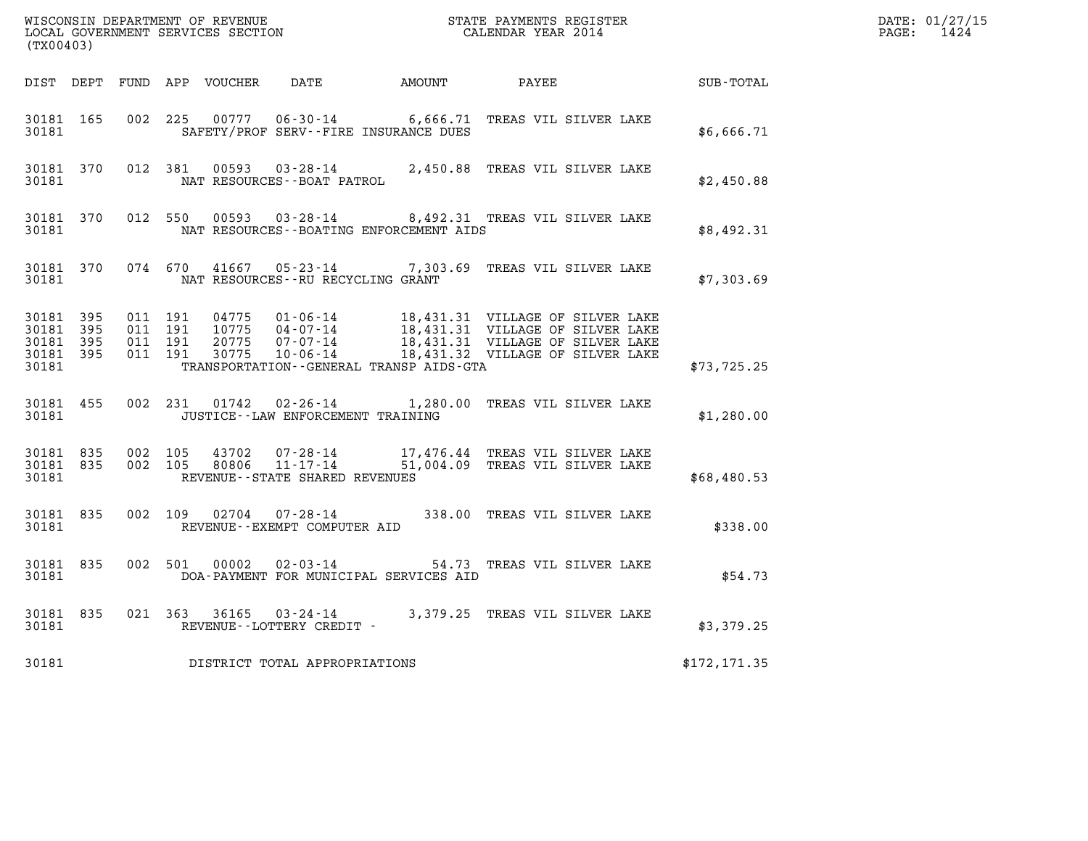| (TX00403)                                                 |           |                    |                    |                        |                                                           |                                                                                                                                                                                                      |               | DATE: 01/27/15<br>$\mathtt{PAGE:}$<br>1424 |
|-----------------------------------------------------------|-----------|--------------------|--------------------|------------------------|-----------------------------------------------------------|------------------------------------------------------------------------------------------------------------------------------------------------------------------------------------------------------|---------------|--------------------------------------------|
|                                                           |           |                    |                    |                        |                                                           | DIST DEPT FUND APP VOUCHER DATE AMOUNT PAYEE                                                                                                                                                         | SUB-TOTAL     |                                            |
| 30181                                                     | 30181 165 |                    |                    |                        | SAFETY/PROF SERV--FIRE INSURANCE DUES                     | 002 225 00777 06-30-14 6,666.71 TREAS VIL SILVER LAKE                                                                                                                                                | \$6,666.71    |                                            |
| 30181 370<br>30181                                        |           |                    |                    |                        | NAT RESOURCES--BOAT PATROL                                | 012 381 00593 03-28-14 2,450.88 TREAS VIL SILVER LAKE                                                                                                                                                | \$2,450.88    |                                            |
| 30181 370<br>30181                                        |           |                    | 012 550            | 00593                  | $03 - 28 - 14$<br>NAT RESOURCES--BOATING ENFORCEMENT AIDS | 8,492.31 TREAS VIL SILVER LAKE                                                                                                                                                                       | \$8,492.31    |                                            |
| 30181                                                     |           | and a string       |                    |                        | NAT RESOURCES--RU RECYCLING GRANT                         | 30181 370 074 670 41667 05-23-14 7,303.69 TREAS VIL SILVER LAKE                                                                                                                                      | \$7,303.69    |                                            |
| 30181 395<br>30181 395<br>30181 395<br>30181 395<br>30181 |           | 011 191<br>011 191 | 011 191<br>011 191 | 20775<br>30775         | TRANSPORTATION--GENERAL TRANSP AIDS-GTA                   | 04775  01-06-14   18,431.31  VILLAGE OF SILVER LAKE<br>10775  04-07-14   18,431.31  VILLAGE OF SILVER LAKE<br>07-07-14 18,431.31 VILLAGE OF SILVER LAKE<br>10-06-14 18,431.32 VILLAGE OF SILVER LAKE | \$73,725.25   |                                            |
| 30181 455<br>30181                                        |           |                    |                    | 002 231 01742          | JUSTICE - - LAW ENFORCEMENT TRAINING                      | 02-26-14 1,280.00 TREAS VIL SILVER LAKE                                                                                                                                                              | \$1,280.00    |                                            |
| 30181 835<br>30181 835<br>30181                           |           | 002 105            |                    | 43702<br>002 105 80806 | REVENUE--STATE SHARED REVENUES                            | 07-28-14 17,476.44 TREAS VIL SILVER LAKE<br>11-17-14 51,004.09 TREAS VIL SILVER LAKE                                                                                                                 | \$68,480.53   |                                            |
| 30181 835<br>30181                                        |           |                    |                    |                        | REVENUE--EXEMPT COMPUTER AID                              | 002 109 02704 07-28-14 338.00 TREAS VIL SILVER LAKE                                                                                                                                                  | \$338.00      |                                            |
| 30181 835<br>30181                                        |           |                    |                    | 002 501 00002          | $02 - 03 - 14$<br>DOA-PAYMENT FOR MUNICIPAL SERVICES AID  | 54.73 TREAS VIL SILVER LAKE                                                                                                                                                                          | \$54.73       |                                            |
| 30181                                                     | 30181 835 |                    |                    |                        | REVENUE--LOTTERY CREDIT -                                 | 021 363 36165 03-24-14 3,379.25 TREAS VIL SILVER LAKE                                                                                                                                                | \$3,379.25    |                                            |
| 30181                                                     |           |                    |                    |                        | DISTRICT TOTAL APPROPRIATIONS                             |                                                                                                                                                                                                      | \$172, 171.35 |                                            |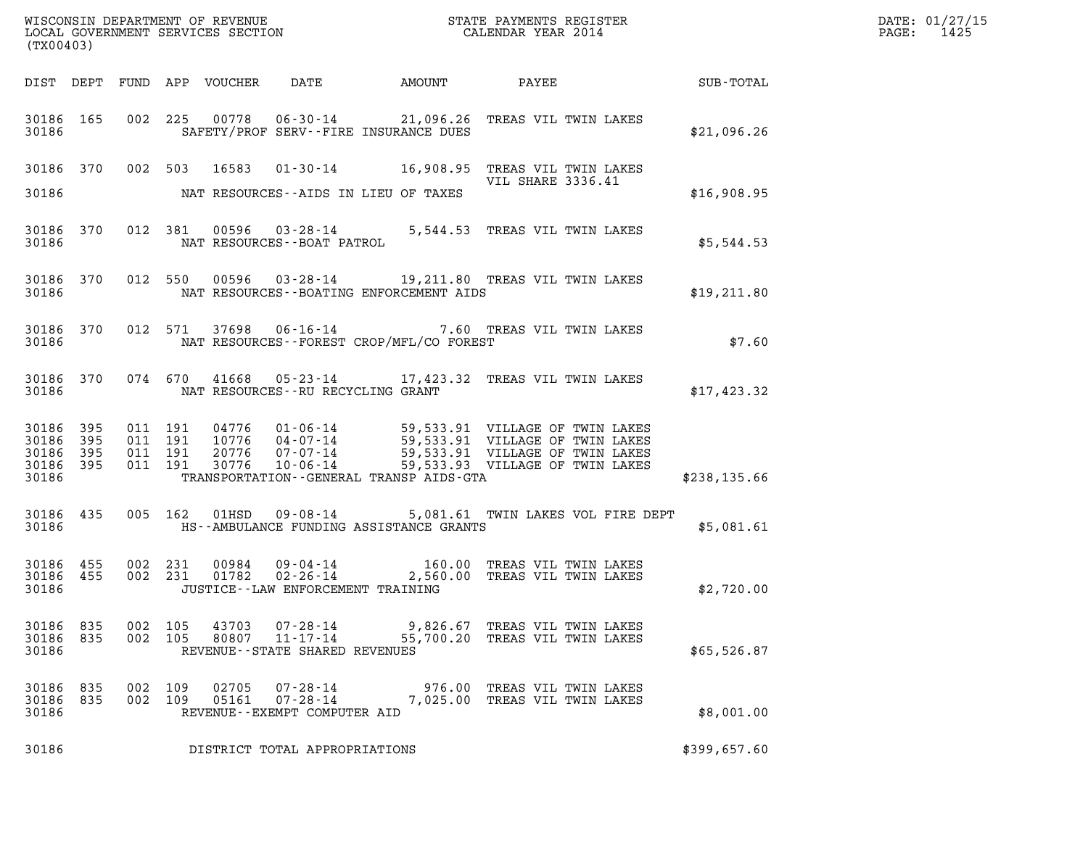|                             | (TX00403)                           |                    |     |                |                                                         |        |                                                                                                                                                                                                                                      |                                                        |  |
|-----------------------------|-------------------------------------|--------------------|-----|----------------|---------------------------------------------------------|--------|--------------------------------------------------------------------------------------------------------------------------------------------------------------------------------------------------------------------------------------|--------------------------------------------------------|--|
|                             |                                     |                    |     |                |                                                         |        |                                                                                                                                                                                                                                      | DIST DEPT FUND APP VOUCHER DATE AMOUNT PAYEE SUB-TOTAL |  |
|                             | 30186                               |                    |     |                | SAFETY/PROF SERV--FIRE INSURANCE DUES                   |        | 30186 165 002 225 00778 06-30-14 21,096.26 TREAS VIL TWIN LAKES                                                                                                                                                                      | \$21,096.26                                            |  |
|                             |                                     |                    |     |                | 30186 MAT RESOURCES--AIDS IN LIEU OF TAXES              |        | 30186 370 002 503 16583 01-30-14 16,908.95 TREAS VIL TWIN LAKES                                                                                                                                                                      | \$16,908.95                                            |  |
|                             |                                     |                    |     |                |                                                         |        | $\begin{tabular}{llllll} 30186 & 370 & 012 & 381 & 00596 & 03-28-14 & 5,544.53 & \texttt{TREAS VIL TWIN LAKES} \\ & \texttt{NAT RESOURCES--BOAT PATROL} & \end{tabular}$                                                             | \$5,544.53                                             |  |
|                             |                                     |                    |     |                |                                                         |        | 30186 370 012 550 00596 03-28-14 19,211.80 TREAS VIL TWIN LAKES<br>30186 NAT RESOURCES--BOATING ENFORCEMENT AIDS                                                                                                                     | \$19,211.80                                            |  |
|                             |                                     |                    |     |                | 30186 MAT RESOURCES--FOREST CROP/MFL/CO FOREST          |        | 30186 370 012 571 37698 06-16-14 7.60 TREAS VIL TWIN LAKES                                                                                                                                                                           | \$7.60                                                 |  |
|                             |                                     |                    |     |                | 30186 MAT RESOURCES--RU RECYCLING GRANT                 |        | 30186 370 074 670 41668 05-23-14 17,423.32 TREAS VIL TWIN LAKES                                                                                                                                                                      | \$17,423.32                                            |  |
| 30186 395<br>30186          | 30186 395<br>30186 395<br>30186 395 |                    |     |                | TRANSPORTATION--GENERAL TRANSP AIDS-GTA                 |        | 011 191 04776 01-06-14 59,533.91 VILLAGE OF TWIN LAKES<br>011 191 10776 04-07-14 59,533.91 VILLAGE OF TWIN LAKES<br>011 191 30776 07-07-14 59,533.91 VILLAGE OF TWIN LAKES<br>011 191 30776 10-06-14 59,533.93 VILLAGE OF TWIN LAKES | \$238,135.66                                           |  |
|                             |                                     |                    |     |                |                                                         |        | 30186 435 005 162 01HSD 09-08-14 5,081.61 TWIN LAKES VOL FIRE DEPT<br>30186 THE - AMBULANCE FUNDING ASSISTANCE GRANTS                                                                                                                | \$5,081.61                                             |  |
| 30186                       |                                     |                    |     |                | JUSTICE - - LAW ENFORCEMENT TRAINING                    |        | 30186 455 002 231 00984 09-04-14 160.00 TREAS VIL TWIN LAKES 30186 455 002 231 01782 02-26-14 2,560.00 TREAS VIL TWIN LAKES                                                                                                          | \$2,720.00                                             |  |
| 30186<br>30186 835<br>30186 | 835                                 | 002 105<br>002 105 |     | 43703<br>80807 | $11 - 17 - 14$<br>REVENUE - - STATE SHARED REVENUES     |        | 07-28-14 9,826.67 TREAS VIL TWIN LAKES<br>55,700.20 TREAS VIL TWIN LAKES                                                                                                                                                             | \$65,526.87                                            |  |
| 30186<br>30186 835<br>30186 | 835                                 | 002<br>002 109     | 109 | 02705<br>05161 | 07-28-14<br>07-28-14<br>REVENUE - - EXEMPT COMPUTER AID | 976.00 | TREAS VIL TWIN LAKES<br>7,025.00 TREAS VIL TWIN LAKES                                                                                                                                                                                | \$8,001.00                                             |  |
| 30186                       |                                     |                    |     |                | DISTRICT TOTAL APPROPRIATIONS                           |        |                                                                                                                                                                                                                                      | \$399,657.60                                           |  |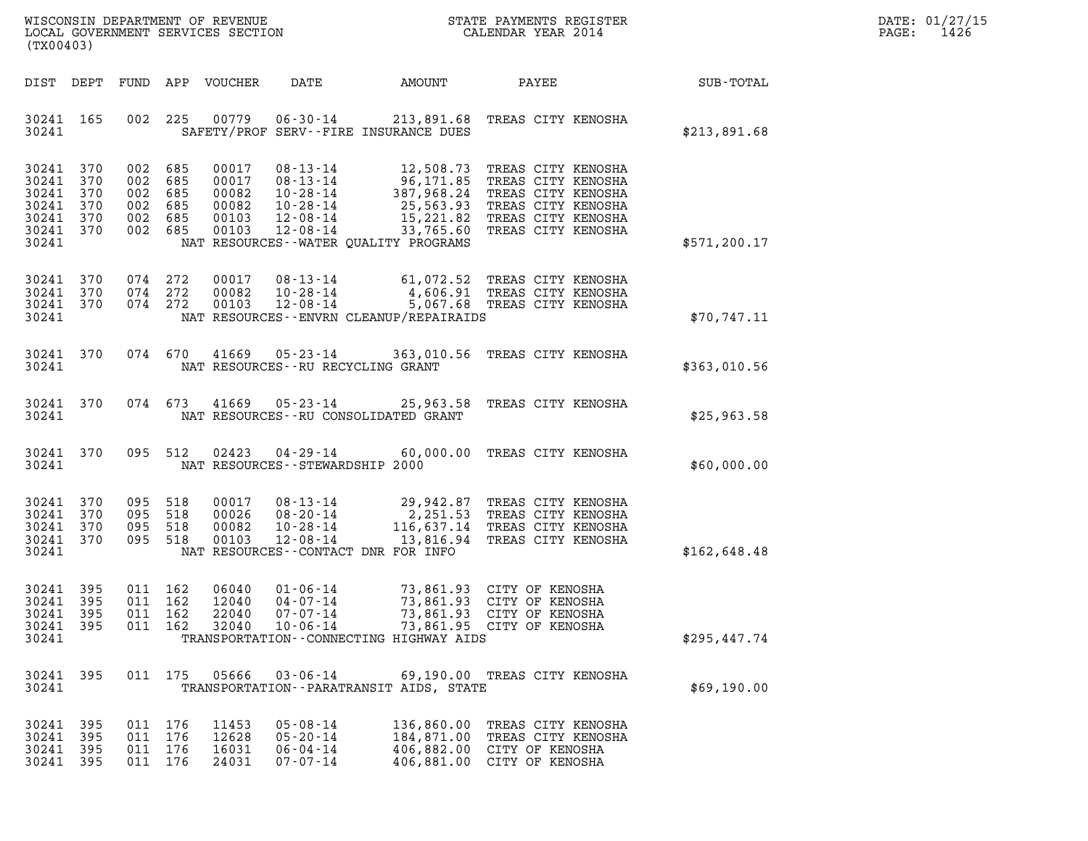| $\mathtt{DATE}$ : | 01/27/15 |
|-------------------|----------|
| PAGE:             | 1426     |

| WISCONSIN DEPARTMENT OF REVENUE<br>LOCAL GOVERNMENT SERVICES SECTION<br>(TX00403) |                                        |                                                            |                   |                                                    |                                                                            |                                                     | STATE PAYMENTS REGISTER<br>CALENDAR YEAR 2014                                                                                                                                                 |               | DATE: 01/27/15<br>PAGE:<br>1426 |
|-----------------------------------------------------------------------------------|----------------------------------------|------------------------------------------------------------|-------------------|----------------------------------------------------|----------------------------------------------------------------------------|-----------------------------------------------------|-----------------------------------------------------------------------------------------------------------------------------------------------------------------------------------------------|---------------|---------------------------------|
| DIST DEPT                                                                         |                                        |                                                            |                   | FUND APP VOUCHER                                   | DATE                                                                       | AMOUNT                                              | PAYEE                                                                                                                                                                                         | SUB-TOTAL     |                                 |
| 30241 165<br>30241                                                                |                                        | 002                                                        | 225               | 00779                                              | $06 - 30 - 14$                                                             | 213,891.68<br>SAFETY/PROF SERV--FIRE INSURANCE DUES | TREAS CITY KENOSHA                                                                                                                                                                            | \$213,891.68  |                                 |
| 30241<br>30241<br>30241<br>30241<br>30241<br>30241<br>30241                       | 370<br>370<br>370<br>370<br>370<br>370 | 002 685<br>002<br>002 685<br>002 685<br>002 685<br>002 685 | 685               | 00017<br>00017<br>00082<br>00082<br>00103<br>00103 | 08-13-14<br>08-13-14<br>10-28-14<br>10-28-14<br>12-08-14<br>$12 - 08 - 14$ | NAT RESOURCES--WATER QUALITY PROGRAMS               | 12,508.73 TREAS CITY KENOSHA<br>96,171.85 TREAS CITY KENOSHA<br>387,968.24 TREAS CITY KENOSHA<br>25,563.93 TREAS CITY KENOSHA<br>15,221.82 TREAS CITY KENOSHA<br>33,765.60 TREAS CITY KENOSHA | \$571, 200.17 |                                 |
| 30241<br>30241<br>30241<br>30241                                                  | 370<br>370<br>370                      | 074 272<br>074 272<br>074 272                              |                   | 00017<br>00082<br>00103                            | 08-13-14<br>10-28-14<br>$12 - 08 - 14$                                     | NAT RESOURCES - - ENVRN CLEANUP/REPAIRAIDS          | 61,072.52 TREAS CITY KENOSHA<br>4,606.91 TREAS CITY KENOSHA<br>5,067.68 TREAS CITY KENOSHA                                                                                                    | \$70, 747.11  |                                 |
| 30241 370<br>30241                                                                |                                        |                                                            | 074 670           | 41669                                              | $05 - 23 - 14$<br>NAT RESOURCES--RU RECYCLING GRANT                        |                                                     | 363,010.56 TREAS CITY KENOSHA                                                                                                                                                                 | \$363,010.56  |                                 |
| 30241 370<br>30241                                                                |                                        | 074 673                                                    |                   | 41669                                              | 05 - 23 - 14                                                               | NAT RESOURCES - - RU CONSOLIDATED GRANT             | 25,963.58 TREAS CITY KENOSHA                                                                                                                                                                  | \$25,963.58   |                                 |
| 30241 370<br>30241                                                                |                                        | 095 512                                                    |                   | 02423                                              | 04 - 29 - 14<br>NAT RESOURCES - - STEWARDSHIP 2000                         | 60,000.00                                           | TREAS CITY KENOSHA                                                                                                                                                                            | \$60,000.00   |                                 |
| 30241<br>30241<br>30241<br>30241<br>30241                                         | 370<br>370<br>370<br>370               | 095<br>095<br>095<br>095 518                               | 518<br>518<br>518 | 00017<br>00026<br>00082<br>00103                   | $08 - 13 - 14$<br>08-20-14<br>$10 - 28 - 14$<br>12-08-14                   | 116,637.14<br>NAT RESOURCES--CONTACT DNR FOR INFO   | 29,942.87 TREAS CITY KENOSHA<br>2,251.53 TREAS CITY KENOSHA<br>TREAS CITY KENOSHA<br>13,816.94 TREAS CITY KENOSHA                                                                             | \$162,648.48  |                                 |
| 30241 395<br>30241<br>30241<br>30241<br>30241                                     | 395<br>- 395<br>- 395                  | 011 162<br>011 162<br>011 162                              | 011 162           | 06040<br>12040<br>22040<br>32040                   | $01 - 06 - 14$<br>$04 - 07 - 14$<br>$07 - 07 - 14$<br>$10 - 06 - 14$       | TRANSPORTATION - - CONNECTING HIGHWAY AIDS          | 73,861.93 CITY OF KENOSHA<br>73,861.93 CITY OF KENOSHA<br>73,861.93 CITY OF KENOSHA<br>73,861.95 CITY OF KENOSHA                                                                              | \$295,447.74  |                                 |
| 30241 395<br>30241                                                                |                                        |                                                            | 011 175           | 05666                                              | $03 - 06 - 14$                                                             | TRANSPORTATION - - PARATRANSIT AIDS, STATE          | 69,190.00 TREAS CITY KENOSHA                                                                                                                                                                  | \$69,190.00   |                                 |
| 30241<br>30241<br>30241<br>30241                                                  | 395<br>395<br>395<br>- 395             | 011 176<br>011 176<br>011 176<br>011 176                   |                   | 11453<br>12628<br>16031<br>24031                   | $05 - 08 - 14$<br>$05 - 20 - 14$<br>$06 - 04 - 14$<br>$07 - 07 - 14$       |                                                     | 136,860.00 TREAS CITY KENOSHA<br>184,871.00 TREAS CITY KENOSHA<br>406,882.00 CITY OF KENOSHA<br>406,881.00 CITY OF KENOSHA                                                                    |               |                                 |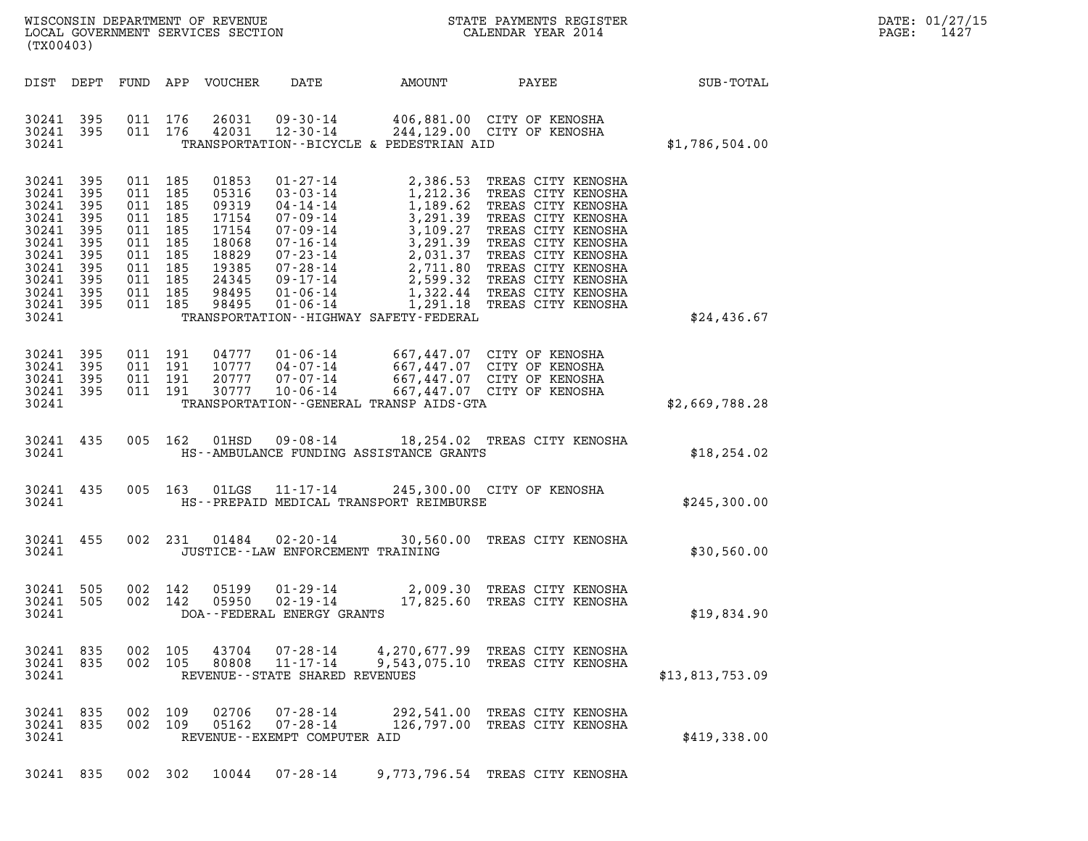| WISCONSIN DEPARTMENT OF REVENUE   | STATE PAYMENTS REGISTER | DATE: 01/27/15 |
|-----------------------------------|-------------------------|----------------|
| LOCAL GOVERNMENT SERVICES SECTION | CALENDAR YEAR 2014      | 1427<br>PAGE:  |

| (TX00403)                                                                                                                                                                                                                                                                                                                                                                                                              |                                                                                                                                                                                                                                                                                                                                                                            |                 | DATE: 01/27/15<br>PAGE: 1427 |
|------------------------------------------------------------------------------------------------------------------------------------------------------------------------------------------------------------------------------------------------------------------------------------------------------------------------------------------------------------------------------------------------------------------------|----------------------------------------------------------------------------------------------------------------------------------------------------------------------------------------------------------------------------------------------------------------------------------------------------------------------------------------------------------------------------|-----------------|------------------------------|
|                                                                                                                                                                                                                                                                                                                                                                                                                        | DIST DEPT FUND APP VOUCHER DATE AMOUNT PAYEE PAYEE                                                                                                                                                                                                                                                                                                                         |                 |                              |
|                                                                                                                                                                                                                                                                                                                                                                                                                        | $\begin{array}{cccccc} 30241 & 395 & 011 & 176 & 26031 & 09\text{-}30\text{-}14 & & 406,881.00 & \text{CITY OF KENOSHA} \\ 30241 & 395 & 011 & 176 & 42031 & 12\text{-}30\text{-}14 & & 244,129.00 & \text{CITY OF KENOSHA} \end{array}$<br>30241 TRANSPORTATION--BICYCLE & PEDESTRIAN AID                                                                                 | \$1,786,504.00  |                              |
| 30241 395<br>011 185<br>01853<br>30241 395<br>011 185<br>05316<br>011 185<br>30241 395<br>09319<br>30241 395<br>011 185<br>17154<br>011 185<br>30241 395<br>17154<br>30241 395<br>011 185<br>18068<br>011 185<br>30241 395<br>18829<br>19385<br>30241 395<br>011 185<br>011 185<br>30241 395<br>24345<br>98495<br>30241 395<br>011 185<br>30241 395 011 185 98495<br>30241 TRANSPORTATION - - HIGHWAY SAFETY - FEDERAL | 01-27-14<br>03-03-14<br>04-14-14<br>04-14-14<br>07-09-14<br>07-09-14<br>07-09-14<br>07-16-14<br>07-16-14<br>07-28-14<br>07-28-14<br>2,031.37<br>TREAS CITY KENOSHA<br>07-28-14<br>2,031.37<br>TREAS CITY KENOSHA<br>07-28-14<br>2,031.37<br>TREAS CITY KENOSHA<br>07                                                                                                       | \$24, 436.67    |                              |
| 30241 395 011 191<br>30241 395 011 191                                                                                                                                                                                                                                                                                                                                                                                 | $\begin{array}{cccccccc} 30241 & 395 & 011 & 191 & 04777 & 01\cdot 06\cdot 14 & 667,447.07 & CITY OF KENOSHA \\ 30241 & 395 & 011 & 191 & 10777 & 04\cdot 07\cdot 14 & 667,447.07 & CITY OF KENOSHA \\ 30241 & 395 & 011 & 191 & 20777 & 07\cdot 07\cdot 14 & 667,447.07 & CITY OF KENOSHA \\ 30241 & 395 & 011 & 191 & $<br>30241 TRANSPORTATION--GENERAL TRANSP AIDS-GTA | \$2,669,788.28  |                              |
|                                                                                                                                                                                                                                                                                                                                                                                                                        | 30241 435 005 162 01HSD 09-08-14 18,254.02 TREAS CITY KENOSHA<br>30241 HS--AMBULANCE FUNDING ASSISTANCE GRANTS                                                                                                                                                                                                                                                             | \$18, 254.02    |                              |
|                                                                                                                                                                                                                                                                                                                                                                                                                        | 30241 435 005 163 01LGS 11-17-14 245,300.00 CITY OF KENOSHA<br>30241 HS--PREPAID MEDICAL TRANSPORT REIMBURSE                                                                                                                                                                                                                                                               | \$245,300.00    |                              |
| 30241 JUSTICE - LAW ENFORCEMENT TRAINING                                                                                                                                                                                                                                                                                                                                                                               | 30241 455 002 231 01484 02-20-14 30,560.00 TREAS CITY KENOSHA                                                                                                                                                                                                                                                                                                              | \$30,560.00     |                              |
| 30241 505<br>002 142<br>30241 505<br>002 142<br>30241<br>DOA--FEDERAL ENERGY GRANTS                                                                                                                                                                                                                                                                                                                                    |                                                                                                                                                                                                                                                                                                                                                                            | \$19,834.90     |                              |
| 30241 835<br>002 105<br>43704<br>30241 835<br>002 105<br>80808<br>30241<br>REVENUE - - STATE SHARED REVENUES                                                                                                                                                                                                                                                                                                           | 07-28-14<br>4,270,677.99 TREAS CITY KENOSHA<br>$11 - 17 - 14$<br>9,543,075.10 TREAS CITY KENOSHA                                                                                                                                                                                                                                                                           | \$13,813,753.09 |                              |
| 30241 835<br>002<br>109<br>02706<br>07-28-14<br>30241 835<br>002 109<br>05162<br>07-28-14<br>30241<br>REVENUE--EXEMPT COMPUTER AID                                                                                                                                                                                                                                                                                     | 292,541.00 TREAS CITY KENOSHA<br>126,797.00 TREAS CITY KENOSHA                                                                                                                                                                                                                                                                                                             | \$419,338.00    |                              |

30241 835 002 302 10044 07-28-14 9,773,796.54 TREAS CITY KENOSHA